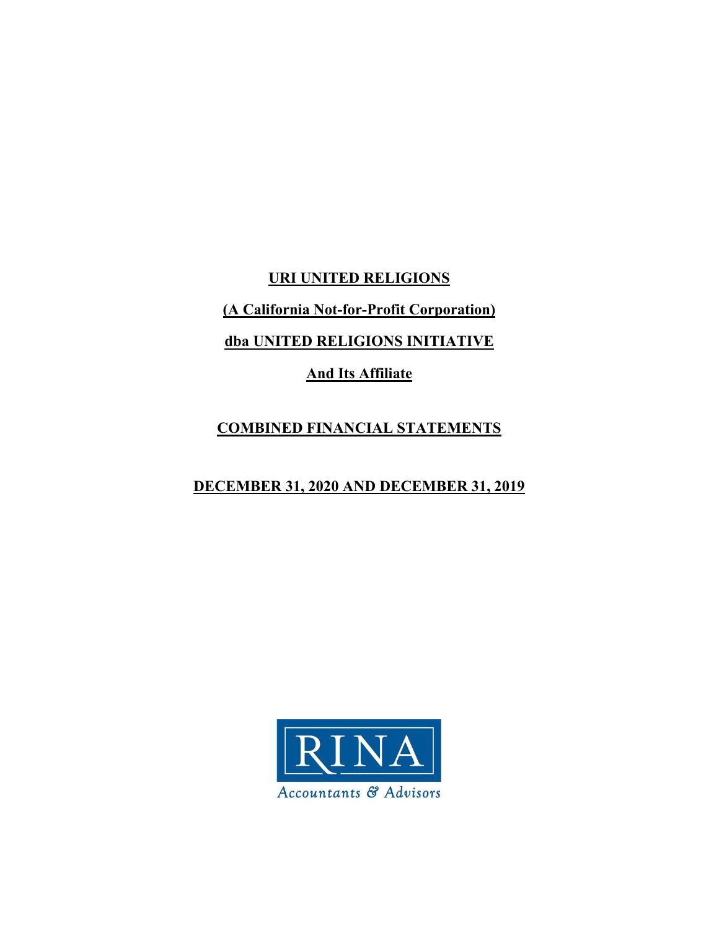**URI UNITED RELIGIONS** 

**(A California Not-for-Profit Corporation)** 

**dba UNITED RELIGIONS INITIATIVE** 

**And Its Affiliate** 

## **COMBINED FINANCIAL STATEMENTS**

## **DECEMBER 31, 2020 AND DECEMBER 31, 2019**

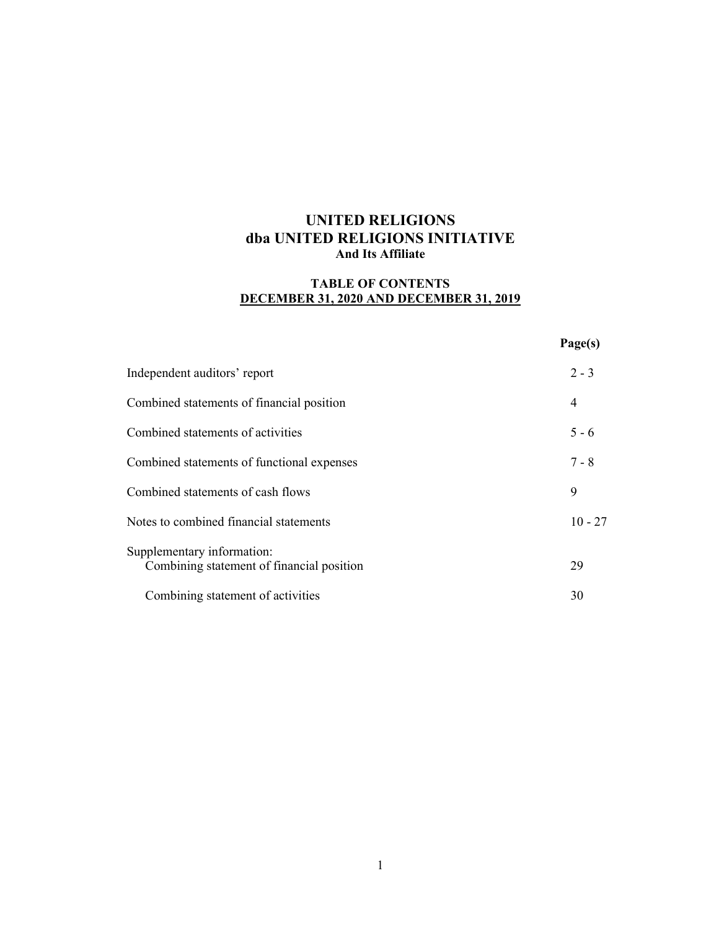### **TABLE OF CONTENTS DECEMBER 31, 2020 AND DECEMBER 31, 2019**

|                                                                         | Page(s)   |
|-------------------------------------------------------------------------|-----------|
| Independent auditors' report                                            | $2 - 3$   |
| Combined statements of financial position                               | 4         |
| Combined statements of activities                                       | $5 - 6$   |
| Combined statements of functional expenses                              | $7 - 8$   |
| Combined statements of cash flows                                       | 9         |
| Notes to combined financial statements                                  | $10 - 27$ |
| Supplementary information:<br>Combining statement of financial position | 29        |
| Combining statement of activities                                       | 30        |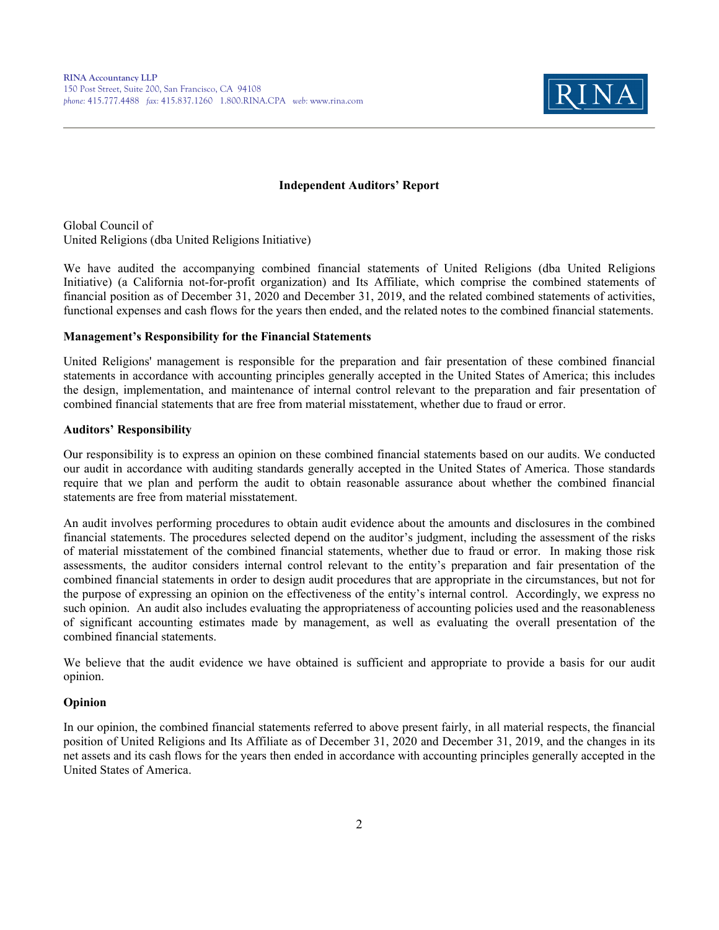

#### **Independent Auditors' Report**

Global Council of United Religions (dba United Religions Initiative)

We have audited the accompanying combined financial statements of United Religions (dba United Religions Initiative) (a California not-for-profit organization) and Its Affiliate, which comprise the combined statements of financial position as of December 31, 2020 and December 31, 2019, and the related combined statements of activities, functional expenses and cash flows for the years then ended, and the related notes to the combined financial statements.

#### **Management's Responsibility for the Financial Statements**

United Religions' management is responsible for the preparation and fair presentation of these combined financial statements in accordance with accounting principles generally accepted in the United States of America; this includes the design, implementation, and maintenance of internal control relevant to the preparation and fair presentation of combined financial statements that are free from material misstatement, whether due to fraud or error.

#### **Auditors' Responsibility**

Our responsibility is to express an opinion on these combined financial statements based on our audits. We conducted our audit in accordance with auditing standards generally accepted in the United States of America. Those standards require that we plan and perform the audit to obtain reasonable assurance about whether the combined financial statements are free from material misstatement.

An audit involves performing procedures to obtain audit evidence about the amounts and disclosures in the combined financial statements. The procedures selected depend on the auditor's judgment, including the assessment of the risks of material misstatement of the combined financial statements, whether due to fraud or error. In making those risk assessments, the auditor considers internal control relevant to the entity's preparation and fair presentation of the combined financial statements in order to design audit procedures that are appropriate in the circumstances, but not for the purpose of expressing an opinion on the effectiveness of the entity's internal control. Accordingly, we express no such opinion. An audit also includes evaluating the appropriateness of accounting policies used and the reasonableness of significant accounting estimates made by management, as well as evaluating the overall presentation of the combined financial statements.

We believe that the audit evidence we have obtained is sufficient and appropriate to provide a basis for our audit opinion.

#### **Opinion**

In our opinion, the combined financial statements referred to above present fairly, in all material respects, the financial position of United Religions and Its Affiliate as of December 31, 2020 and December 31, 2019, and the changes in its net assets and its cash flows for the years then ended in accordance with accounting principles generally accepted in the United States of America.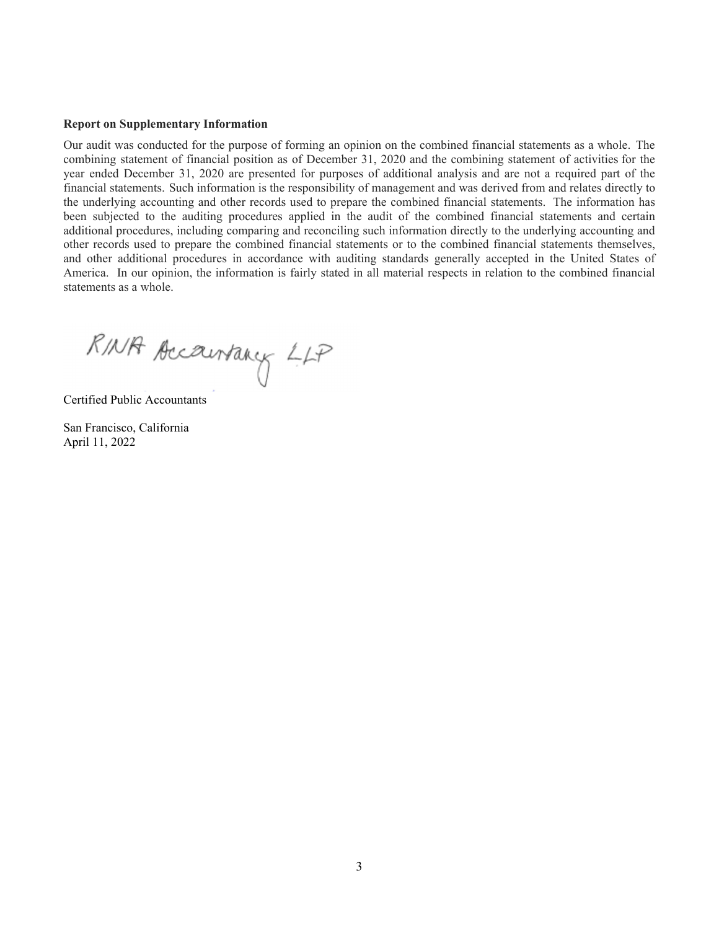#### **Report on Supplementary Information**

Our audit was conducted for the purpose of forming an opinion on the combined financial statements as a whole. The combining statement of financial position as of December 31, 2020 and the combining statement of activities for the year ended December 31, 2020 are presented for purposes of additional analysis and are not a required part of the financial statements. Such information is the responsibility of management and was derived from and relates directly to the underlying accounting and other records used to prepare the combined financial statements. The information has been subjected to the auditing procedures applied in the audit of the combined financial statements and certain additional procedures, including comparing and reconciling such information directly to the underlying accounting and other records used to prepare the combined financial statements or to the combined financial statements themselves, and other additional procedures in accordance with auditing standards generally accepted in the United States of America. In our opinion, the information is fairly stated in all material respects in relation to the combined financial statements as a whole.

RINA Accountancy LLP

Certified Public Accountants

San Francisco, California April 11, 2022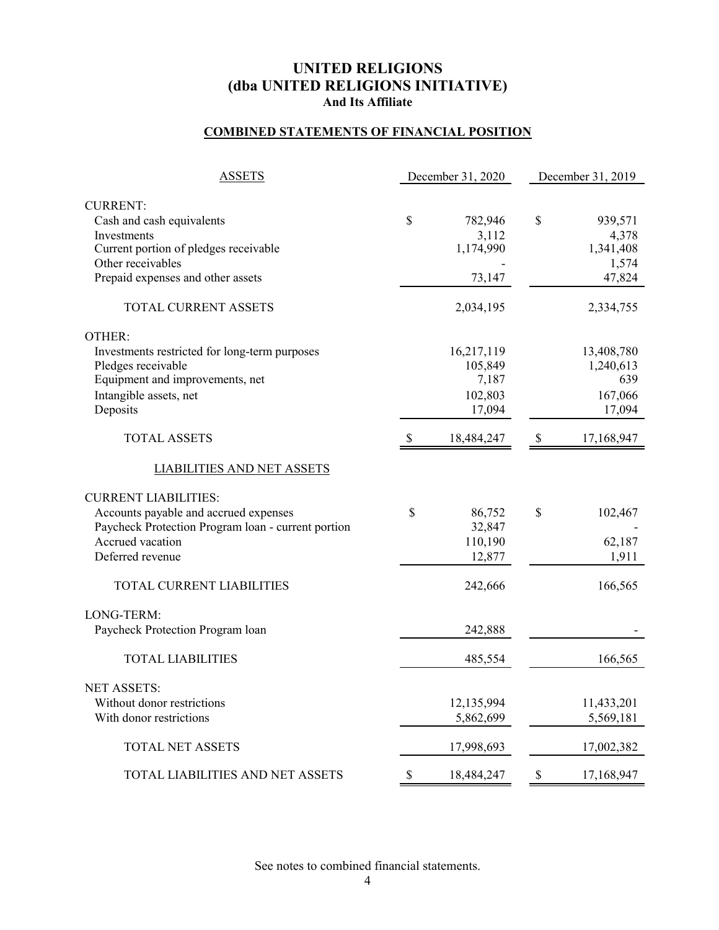### **COMBINED STATEMENTS OF FINANCIAL POSITION**

| <b>ASSETS</b>                                                                                        |    | December 31, 2020             | December 31, 2019 |                               |  |  |
|------------------------------------------------------------------------------------------------------|----|-------------------------------|-------------------|-------------------------------|--|--|
|                                                                                                      |    |                               |                   |                               |  |  |
| <b>CURRENT:</b><br>Cash and cash equivalents<br>Investments<br>Current portion of pledges receivable | \$ | 782,946<br>3,112<br>1,174,990 | \$                | 939,571<br>4,378<br>1,341,408 |  |  |
| Other receivables                                                                                    |    |                               |                   | 1,574                         |  |  |
| Prepaid expenses and other assets                                                                    |    | 73,147                        |                   | 47,824                        |  |  |
| TOTAL CURRENT ASSETS                                                                                 |    | 2,034,195                     |                   | 2,334,755                     |  |  |
| OTHER:                                                                                               |    |                               |                   |                               |  |  |
| Investments restricted for long-term purposes                                                        |    | 16,217,119                    |                   | 13,408,780                    |  |  |
| Pledges receivable                                                                                   |    | 105,849                       |                   | 1,240,613                     |  |  |
| Equipment and improvements, net                                                                      |    | 7,187                         |                   | 639                           |  |  |
| Intangible assets, net<br>Deposits                                                                   |    | 102,803<br>17,094             |                   | 167,066<br>17,094             |  |  |
|                                                                                                      |    |                               |                   |                               |  |  |
| <b>TOTAL ASSETS</b>                                                                                  | Y. | 18,484,247                    | \$                | 17,168,947                    |  |  |
| <b>LIABILITIES AND NET ASSETS</b>                                                                    |    |                               |                   |                               |  |  |
| <b>CURRENT LIABILITIES:</b>                                                                          |    |                               |                   |                               |  |  |
| Accounts payable and accrued expenses                                                                | \$ | 86,752                        | \$                | 102,467                       |  |  |
| Paycheck Protection Program loan - current portion                                                   |    | 32,847                        |                   |                               |  |  |
| Accrued vacation                                                                                     |    | 110,190                       |                   | 62,187                        |  |  |
| Deferred revenue                                                                                     |    | 12,877                        |                   | 1,911                         |  |  |
| TOTAL CURRENT LIABILITIES                                                                            |    | 242,666                       |                   | 166,565                       |  |  |
| LONG-TERM:                                                                                           |    |                               |                   |                               |  |  |
| Paycheck Protection Program loan                                                                     |    | 242,888                       |                   |                               |  |  |
| <b>TOTAL LIABILITIES</b>                                                                             |    | 485,554                       |                   | 166,565                       |  |  |
| <b>NET ASSETS:</b>                                                                                   |    |                               |                   |                               |  |  |
| Without donor restrictions                                                                           |    | 12,135,994                    |                   | 11,433,201                    |  |  |
| With donor restrictions                                                                              |    | 5,862,699                     |                   | 5,569,181                     |  |  |
|                                                                                                      |    |                               |                   |                               |  |  |
| TOTAL NET ASSETS                                                                                     |    | 17,998,693                    |                   | 17,002,382                    |  |  |
| TOTAL LIABILITIES AND NET ASSETS                                                                     | \$ | 18,484,247                    | -S                | 17,168,947                    |  |  |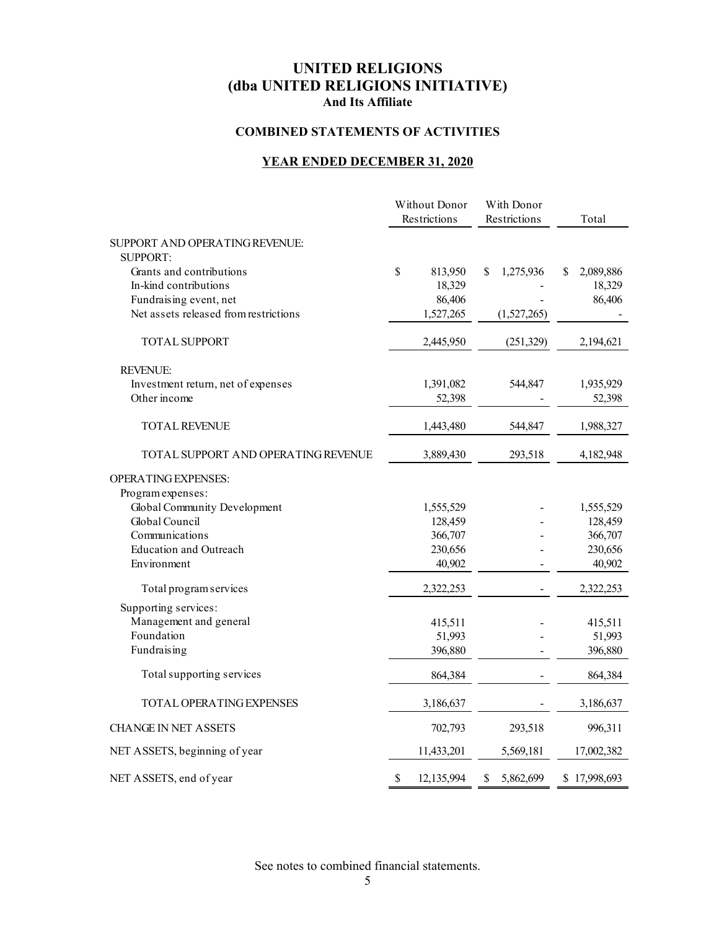#### **COMBINED STATEMENTS OF ACTIVITIES**

### **YEAR ENDED DECEMBER 31, 2020**

|                                       | Without Donor<br>Restrictions | With Donor<br>Restrictions | Total           |
|---------------------------------------|-------------------------------|----------------------------|-----------------|
| SUPPORT AND OPERATING REVENUE:        |                               |                            |                 |
| <b>SUPPORT:</b>                       |                               |                            |                 |
| Grants and contributions              | $\mathbb{S}$<br>813,950       | \$<br>1,275,936            | 2,089,886<br>\$ |
| In-kind contributions                 | 18,329                        |                            | 18,329          |
| Fundraising event, net                | 86,406                        |                            | 86,406          |
| Net assets released from restrictions | 1,527,265                     | (1,527,265)                |                 |
| <b>TOTAL SUPPORT</b>                  | 2,445,950                     | (251, 329)                 | 2,194,621       |
| <b>REVENUE:</b>                       |                               |                            |                 |
| Investment return, net of expenses    | 1,391,082                     | 544,847                    | 1,935,929       |
| Other income                          | 52,398                        |                            | 52,398          |
| TOTAL REVENUE                         | 1,443,480                     | 544,847                    | 1,988,327       |
| TOTAL SUPPORT AND OPERATING REVENUE   | 3,889,430                     | 293,518                    | 4,182,948       |
| OPERATING EXPENSES:                   |                               |                            |                 |
| Program expenses:                     |                               |                            |                 |
| Global Community Development          | 1,555,529                     |                            | 1,555,529       |
| Global Council                        | 128,459                       |                            | 128,459         |
| Communications                        | 366,707                       |                            | 366,707         |
| <b>Education and Outreach</b>         | 230,656                       |                            | 230,656         |
| Environment                           | 40,902                        |                            | 40,902          |
| Total program services                | 2,322,253                     |                            | 2,322,253       |
| Supporting services:                  |                               |                            |                 |
| Management and general                | 415,511                       |                            | 415,511         |
| Foundation                            | 51,993                        |                            | 51,993          |
| Fundraising                           | 396,880                       |                            | 396,880         |
| Total supporting services             | 864,384                       |                            | 864,384         |
| <b>TOTAL OPERATING EXPENSES</b>       | 3,186,637                     |                            | 3,186,637       |
| <b>CHANGE IN NET ASSETS</b>           | 702,793                       | 293,518                    | 996,311         |
| NET ASSETS, beginning of year         | 11,433,201                    | 5,569,181                  | 17,002,382      |
| NET ASSETS, end of year               | \$<br>12,135,994              | \$<br>5,862,699            | \$17,998,693    |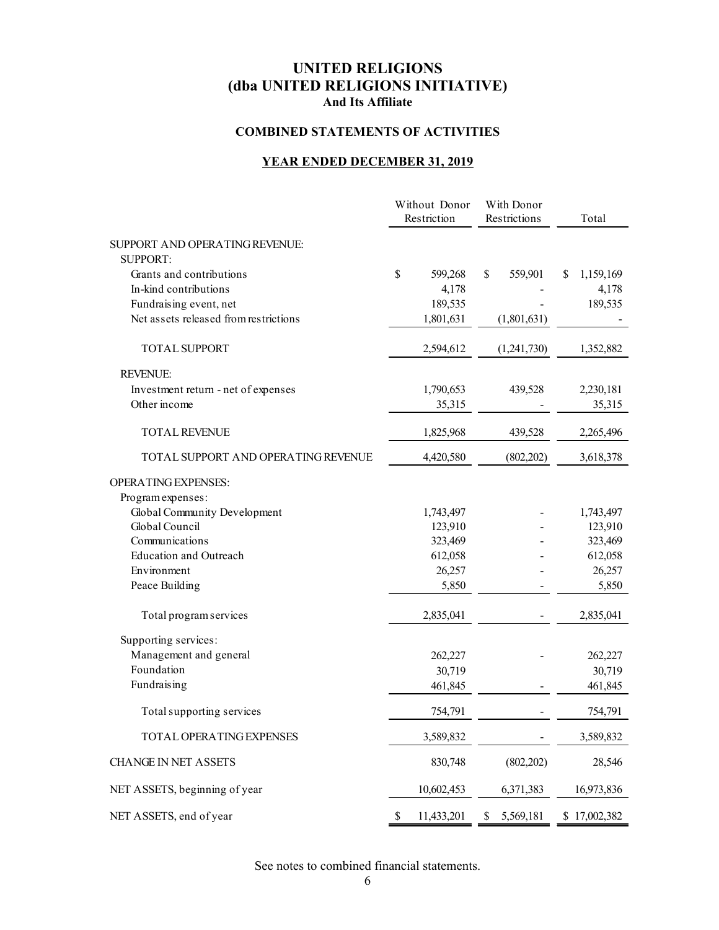#### **COMBINED STATEMENTS OF ACTIVITIES**

### **YEAR ENDED DECEMBER 31, 2019**

|                                       |    | Without Donor<br>Restriction | With Donor<br>Restrictions |    | Total        |
|---------------------------------------|----|------------------------------|----------------------------|----|--------------|
| SUPPORT AND OPERATING REVENUE:        |    |                              |                            |    |              |
| <b>SUPPORT:</b>                       |    |                              |                            |    |              |
| Grants and contributions              | \$ | 599,268                      | \$<br>559,901              | S. | 1,159,169    |
| In-kind contributions                 |    | 4,178                        |                            |    | 4,178        |
| Fundraising event, net                |    | 189,535                      |                            |    | 189,535      |
| Net assets released from restrictions |    | 1,801,631                    | (1,801,631)                |    |              |
| <b>TOTAL SUPPORT</b>                  |    | 2,594,612                    | (1,241,730)                |    | 1,352,882    |
| <b>REVENUE:</b>                       |    |                              |                            |    |              |
| Investment return - net of expenses   |    | 1,790,653                    | 439,528                    |    | 2,230,181    |
| Other income                          |    | 35,315                       |                            |    | 35,315       |
| <b>TOTAL REVENUE</b>                  |    | 1,825,968                    | 439,528                    |    | 2,265,496    |
| TOTAL SUPPORT AND OPERATING REVENUE   |    | 4,420,580                    | (802, 202)                 |    | 3,618,378    |
| OPERATING EXPENSES:                   |    |                              |                            |    |              |
| Program expenses:                     |    |                              |                            |    |              |
| Global Community Development          |    | 1,743,497                    |                            |    | 1,743,497    |
| Global Council                        |    | 123,910                      |                            |    | 123,910      |
| Communications                        |    | 323,469                      |                            |    | 323,469      |
| <b>Education and Outreach</b>         |    | 612,058                      |                            |    | 612,058      |
| Environment                           |    | 26,257                       |                            |    | 26,257       |
| Peace Building                        |    | 5,850                        |                            |    | 5,850        |
| Total program services                |    | 2,835,041                    |                            |    | 2,835,041    |
| Supporting services:                  |    |                              |                            |    |              |
| Management and general                |    | 262,227                      |                            |    | 262,227      |
| Foundation                            |    | 30,719                       |                            |    | 30,719       |
| Fundraising                           |    | 461,845                      |                            |    | 461,845      |
| Total supporting services             |    | 754,791                      |                            |    | 754,791      |
| TOTAL OPERATING EXPENSES              |    | 3,589,832                    |                            |    | 3,589,832    |
| <b>CHANGE IN NET ASSETS</b>           |    | 830,748                      | (802,202)                  |    | 28,546       |
| NET ASSETS, beginning of year         |    | 10,602,453                   | 6,371,383                  |    | 16,973,836   |
| NET ASSETS, end of year               | \$ | 11,433,201                   | 5,569,181<br>\$            |    | \$17,002,382 |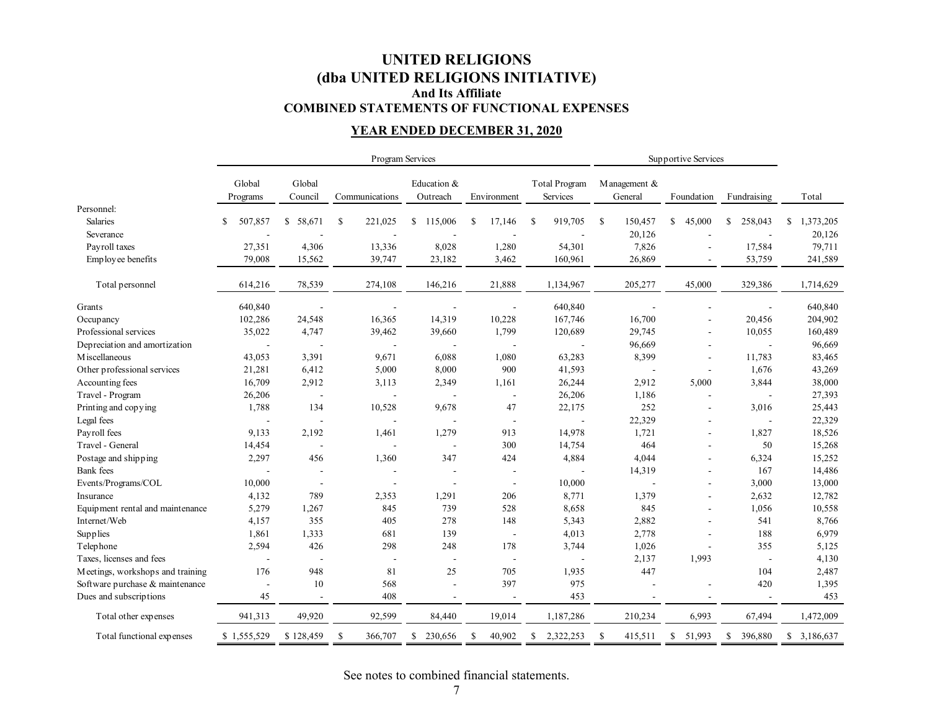### **UNITED RELIGIONS (dba UNITED RELIGIONS INITIATIVE) And Its Affiliate COMBINED STATEMENTS OF FUNCTIONAL EXPENSES**

### **YEAR ENDED DECEMBER 31, 2020**

|                                  |                          |                          |                          | Program Services        |                          |                                  | Supportive Services      |                          |                |                 |
|----------------------------------|--------------------------|--------------------------|--------------------------|-------------------------|--------------------------|----------------------------------|--------------------------|--------------------------|----------------|-----------------|
|                                  | Global<br>Programs       | Global<br>Council        | Communications           | Education &<br>Outreach | Environment              | <b>Total Program</b><br>Services | M anagement &<br>General | Foundation               | Fundraising    | Total           |
| Personnel:                       |                          |                          |                          |                         |                          |                                  |                          |                          |                |                 |
| Salaries                         | 507,857<br>S             | \$58,671                 | <sup>\$</sup><br>221,025 | 115,006<br>\$           | <sup>\$</sup><br>17,146  | <sup>\$</sup><br>919,705         | \$<br>150,457            | 45,000<br>S.             | \$<br>258,043  | \$<br>1,373,205 |
| Severance                        |                          |                          |                          |                         |                          |                                  | 20,126                   |                          |                | 20,126          |
| Payroll taxes                    | 27,351                   | 4,306                    | 13,336                   | 8,028                   | 1,280                    | 54,301                           | 7,826                    | ÷.                       | 17,584         | 79,711          |
| Employee benefits                | 79,008                   | 15,562                   | 39,747                   | 23,182                  | 3,462                    | 160,961                          | 26,869                   |                          | 53,759         | 241,589         |
| Total personnel                  | 614,216                  | 78,539                   | 274,108                  | 146,216                 | 21,888                   | 1,134,967                        | 205,277                  | 45,000                   | 329,386        | 1,714,629       |
| Grants                           | 640,840                  |                          |                          |                         |                          | 640,840                          |                          |                          |                | 640,840         |
| Occupancy                        | 102,286                  | 24,548                   | 16,365                   | 14,319                  | 10,228                   | 167,746                          | 16,700                   |                          | 20,456         | 204,902         |
| Professional services            | 35,022                   | 4,747                    | 39,462                   | 39,660                  | 1,799                    | 120,689                          | 29,745                   |                          | 10,055         | 160,489         |
| Depreciation and amortization    | $\overline{\phantom{a}}$ |                          |                          |                         |                          |                                  | 96,669                   | ÷.                       |                | 96,669          |
| M iscellaneous                   | 43,053                   | 3,391                    | 9,671                    | 6,088                   | 1,080                    | 63,283                           | 8,399                    | ÷,                       | 11,783         | 83,465          |
| Other professional services      | 21,281                   | 6,412                    | 5,000                    | 8,000                   | 900                      | 41,593                           | $\overline{a}$           | $\overline{\phantom{a}}$ | 1,676          | 43,269          |
| Accounting fees                  | 16,709                   | 2,912                    | 3,113                    | 2,349                   | 1,161                    | 26,244                           | 2,912                    | 5,000                    | 3,844          | 38,000          |
| Travel - Program                 | 26,206                   | $\overline{\phantom{a}}$ | $\overline{\phantom{a}}$ |                         | $\overline{\phantom{a}}$ | 26,206                           | 1,186                    | $\overline{\phantom{a}}$ | $\blacksquare$ | 27,393          |
| Printing and copying             | 1,788                    | 134                      | 10,528                   | 9,678                   | 47                       | 22,175                           | 252                      | ÷,                       | 3,016          | 25,443          |
| Legal fees                       |                          |                          | $\overline{\phantom{a}}$ |                         | $\overline{\phantom{a}}$ |                                  | 22,329                   | ä,                       | $\sim$         | 22,329          |
| Payroll fees                     | 9,133                    | 2,192                    | 1,461                    | 1,279                   | 913                      | 14,978                           | 1,721                    | $\blacksquare$           | 1,827          | 18,526          |
| Travel - General                 | 14,454                   |                          | $\blacksquare$           |                         | 300                      | 14,754                           | 464                      | $\blacksquare$           | 50             | 15,268          |
| Postage and shipping             | 2,297                    | 456                      | 1,360                    | 347                     | 424                      | 4,884                            | 4,044                    | $\overline{a}$           | 6,324          | 15,252          |
| Bank fees                        |                          |                          |                          |                         | $\overline{\phantom{a}}$ |                                  | 14,319                   | ÷,                       | 167            | 14,486          |
| Events/Programs/COL              | 10,000                   |                          |                          |                         | $\overline{\phantom{a}}$ | 10,000                           |                          |                          | 3,000          | 13,000          |
| Insurance                        | 4,132                    | 789                      | 2,353                    | 1,291                   | 206                      | 8,771                            | 1,379                    |                          | 2,632          | 12,782          |
| Equipment rental and maintenance | 5,279                    | 1,267                    | 845                      | 739                     | 528                      | 8,658                            | 845                      | $\overline{\phantom{a}}$ | 1,056          | 10,558          |
| Internet/Web                     | 4,157                    | 355                      | 405                      | 278                     | 148                      | 5,343                            | 2,882                    | $\overline{\phantom{a}}$ | 541            | 8,766           |
| Supplies                         | 1,861                    | 1,333                    | 681                      | 139                     | $\sim$                   | 4,013                            | 2,778                    | ÷,                       | 188            | 6,979           |
| Telephone                        | 2,594                    | 426                      | 298                      | 248                     | 178                      | 3,744                            | 1,026                    |                          | 355            | 5,125           |
| Taxes, licenses and fees         | $\overline{\phantom{a}}$ |                          | $\blacksquare$           |                         | $\overline{\phantom{a}}$ |                                  | 2,137                    | 1,993                    | $\blacksquare$ | 4,130           |
| Meetings, workshops and training | 176                      | 948                      | 81                       | 25                      | 705                      | 1,935                            | 447                      |                          | 104            | 2,487           |
| Software purchase & maintenance  | $\overline{\phantom{a}}$ | 10                       | 568                      |                         | 397                      | 975                              |                          |                          | 420            | 1,395           |
| Dues and subscriptions           | 45                       | $\blacksquare$           | 408                      |                         |                          | 453                              |                          |                          |                | 453             |
| Total other expenses             | 941,313                  | 49,920                   | 92,599                   | 84,440                  | 19,014                   | 1,187,286                        | 210,234                  | 6,993                    | 67,494         | 1,472,009       |
| Total functional expenses        | \$1,555,529              | \$128,459                | <sup>\$</sup><br>366,707 | \$<br>230,656           | \$<br>40.902             | 2,322,253<br>S.                  | \$<br>415,511            | \$51,993                 | \$<br>396,880  | \$3,186,637     |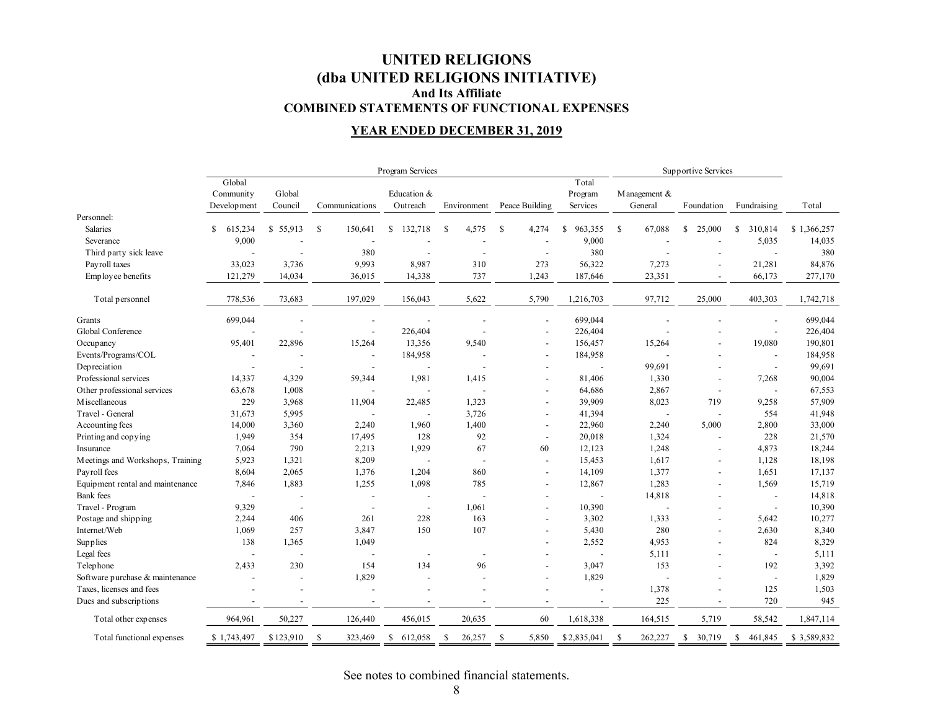### **UNITED RELIGIONS (dba UNITED RELIGIONS INITIATIVE) And Its Affiliate COMBINED STATEMENTS OF FUNCTIONAL EXPENSES**

### **YEAR ENDED DECEMBER 31, 2019**

|                                  | Program Services |                          |                          |                          |                          | Supportive Services      |                          |                          |                          |                          |             |
|----------------------------------|------------------|--------------------------|--------------------------|--------------------------|--------------------------|--------------------------|--------------------------|--------------------------|--------------------------|--------------------------|-------------|
|                                  | Global           |                          |                          |                          |                          |                          | Total                    |                          |                          |                          |             |
|                                  | Community        | Global                   |                          | Education &              |                          |                          | Program                  | Management &             |                          |                          |             |
|                                  | Development      | Council                  | Communications           | Outreach                 | Environment              | Peace Building           | Services                 | General                  | Foundation               | Fundraising              | Total       |
| Personnel:                       |                  |                          |                          |                          |                          |                          |                          |                          |                          |                          |             |
| Salaries                         | \$<br>615,234    | \$55,913                 | -S<br>150,641            | 132,718<br>\$            | \$<br>4,575              | -S<br>4,274              | 963,355<br><sup>\$</sup> | <sup>\$</sup><br>67,088  | S<br>25,000              | 310,814<br>S             | \$1,366,257 |
| Severance                        | 9,000            |                          |                          |                          |                          |                          | 9,000                    |                          |                          | 5,035                    | 14,035      |
| Third party sick leave           |                  |                          | 380                      |                          |                          | $\overline{a}$           | 380                      |                          |                          | $\blacksquare$           | 380         |
| Payroll taxes                    | 33,023           | 3,736                    | 9,993                    | 8,987                    | 310                      | 273                      | 56,322                   | 7,273                    |                          | 21,281                   | 84,876      |
| Employee benefits                | 121,279          | 14,034                   | 36,015                   | 14,338                   | 737                      | 1,243                    | 187,646                  | 23,351                   |                          | 66,173                   | 277,170     |
| Total personnel                  | 778,536          | 73,683                   | 197,029                  | 156,043                  | 5,622                    | 5,790                    | 1,216,703                | 97,712                   | 25,000                   | 403,303                  | 1,742,718   |
| Grants                           | 699,044          |                          |                          |                          |                          | $\overline{a}$           | 699,044                  |                          |                          | $\overline{\phantom{a}}$ | 699,044     |
| Global Conference                |                  |                          | $\overline{a}$           | 226,404                  |                          | $\overline{\phantom{a}}$ | 226,404                  |                          |                          | $\blacksquare$           | 226,404     |
| Occupancy                        | 95,401           | 22,896                   | 15,264                   | 13,356                   | 9,540                    | $\overline{\phantom{a}}$ | 156,457                  | 15,264                   |                          | 19,080                   | 190,801     |
| Events/Programs/COL              |                  |                          | $\overline{a}$           | 184,958                  |                          | $\overline{\phantom{a}}$ | 184,958                  |                          |                          | $\overline{\phantom{a}}$ | 184,958     |
| Depreciation                     | $\overline{a}$   |                          | $\overline{\phantom{a}}$ |                          |                          | $\overline{\phantom{a}}$ |                          | 99,691                   |                          | $\overline{\phantom{a}}$ | 99,691      |
| Professional services            | 14,337           | 4,329                    | 59,344                   | 1,981                    | 1,415                    |                          | 81,406                   | 1,330                    | $\overline{\phantom{a}}$ | 7,268                    | 90,004      |
| Other professional services      | 63,678           | 1,008                    |                          |                          |                          | $\overline{\phantom{a}}$ | 64,686                   | 2,867                    | $\overline{\phantom{a}}$ | $\overline{\phantom{a}}$ | 67,553      |
| M iscellaneous                   | 229              | 3,968                    | 11,904                   | 22,485                   | 1,323                    |                          | 39,909                   | 8,023                    | 719                      | 9,258                    | 57,909      |
| Travel - General                 | 31,673           | 5,995                    |                          |                          | 3,726                    |                          | 41,394                   | $\overline{a}$           | $\overline{\phantom{a}}$ | 554                      | 41,948      |
| Accounting fees                  | 14,000           | 3,360                    | 2,240                    | 1,960                    | 1,400                    | $\overline{\phantom{a}}$ | 22,960                   | 2,240                    | 5,000                    | 2,800                    | 33,000      |
| Printing and copying             | 1,949            | 354                      | 17,495                   | 128                      | 92                       | $\overline{\phantom{a}}$ | 20,018                   | 1,324                    | $\overline{\phantom{a}}$ | 228                      | 21,570      |
| Insurance                        | 7,064            | 790                      | 2,213                    | 1,929                    | 67                       | 60                       | 12,123                   | 1,248                    |                          | 4,873                    | 18,244      |
| Meetings and Workshops, Training | 5,923            | 1,321                    | 8,209                    | $\overline{\phantom{a}}$ | $\overline{a}$           | $\overline{\phantom{a}}$ | 15,453                   | 1,617                    |                          | 1,128                    | 18,198      |
| Payroll fees                     | 8,604            | 2,065                    | 1,376                    | 1,204                    | 860                      | $\overline{\phantom{a}}$ | 14,109                   | 1,377                    |                          | 1,651                    | 17,137      |
| Equipment rental and maintenance | 7,846            | 1,883                    | 1,255                    | 1,098                    | 785                      |                          | 12,867                   | 1,283                    |                          | 1,569                    | 15,719      |
| <b>Bank</b> fees                 |                  |                          | $\overline{\phantom{a}}$ |                          |                          | $\overline{\phantom{a}}$ | $\overline{a}$           | 14,818                   |                          | $\blacksquare$           | 14,818      |
| Travel - Program                 | 9,329            | $\overline{\phantom{a}}$ | $\overline{\phantom{a}}$ | $\overline{\phantom{a}}$ | 1,061                    | $\overline{a}$           | 10,390                   |                          |                          | $\overline{\phantom{a}}$ | 10,390      |
| Postage and shipping             | 2,244            | 406                      | 261                      | 228                      | 163                      |                          | 3,302                    | 1,333                    |                          | 5,642                    | 10,277      |
| Internet/Web                     | 1,069            | 257                      | 3,847                    | 150                      | 107                      |                          | 5,430                    | 280                      |                          | 2,630                    | 8,340       |
| Supplies                         | 138              | 1,365                    | 1,049                    |                          |                          |                          | 2,552                    | 4,953                    |                          | 824                      | 8,329       |
| Legal fees                       | $\overline{a}$   | $\overline{a}$           | $\overline{\phantom{a}}$ | $\overline{\phantom{a}}$ | $\overline{\phantom{a}}$ |                          | $\overline{\phantom{a}}$ | 5,111                    |                          | $\overline{\phantom{a}}$ | 5,111       |
| Telephone                        | 2,433            | 230                      | 154                      | 134                      | 96                       | $\overline{\phantom{a}}$ | 3,047                    | 153                      |                          | 192                      | 3,392       |
| Software purchase & maintenance  | $\overline{a}$   |                          | 1,829                    |                          |                          | $\overline{a}$           | 1,829                    |                          |                          | $\overline{\phantom{a}}$ | 1,829       |
| Taxes, licenses and fees         |                  |                          |                          |                          |                          |                          |                          | 1,378                    |                          | 125                      | 1,503       |
| Dues and subscriptions           |                  | $\overline{\phantom{a}}$ |                          |                          |                          | $\overline{\phantom{0}}$ | $\overline{\phantom{a}}$ | 225                      |                          | 720                      | 945         |
| Total other expenses             | 964,961          | 50,227                   | 126,440                  | 456,015                  | 20,635                   | 60                       | 1,618,338                | 164,515                  | 5,719                    | 58,542                   | 1,847,114   |
| Total functional expenses        | \$1,743,497      | \$123,910                | -S<br>323,469            | 612,058<br><sup>\$</sup> | <sup>\$</sup><br>26,257  | <sup>\$</sup><br>5,850   | \$2,835,041              | <sup>\$</sup><br>262,227 | \$<br>30,719             | S<br>461,845             | \$3,589,832 |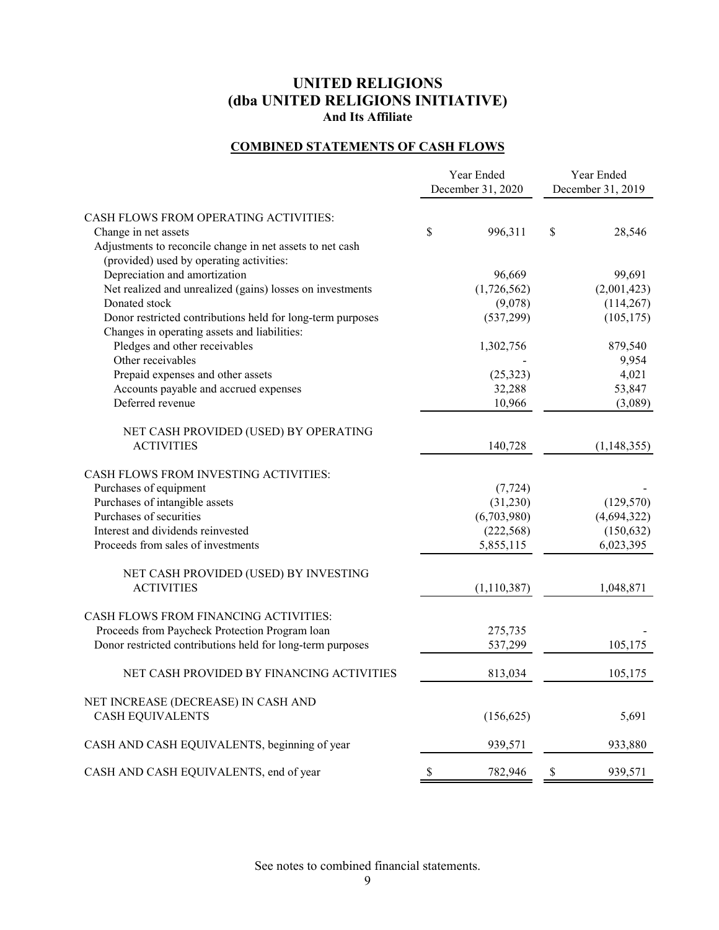### **COMBINED STATEMENTS OF CASH FLOWS**

|                                                            | Year Ended<br>December 31, 2020 | Year Ended<br>December 31, 2019 |               |
|------------------------------------------------------------|---------------------------------|---------------------------------|---------------|
| CASH FLOWS FROM OPERATING ACTIVITIES:                      |                                 |                                 |               |
| Change in net assets                                       | \$<br>996,311                   | $\mathbb{S}$                    | 28,546        |
| Adjustments to reconcile change in net assets to net cash  |                                 |                                 |               |
| (provided) used by operating activities:                   |                                 |                                 |               |
| Depreciation and amortization                              | 96,669                          |                                 | 99,691        |
| Net realized and unrealized (gains) losses on investments  | (1,726,562)                     |                                 | (2,001,423)   |
| Donated stock                                              | (9,078)                         |                                 | (114, 267)    |
| Donor restricted contributions held for long-term purposes | (537, 299)                      |                                 | (105, 175)    |
| Changes in operating assets and liabilities:               |                                 |                                 |               |
| Pledges and other receivables                              | 1,302,756                       |                                 | 879,540       |
| Other receivables                                          |                                 |                                 | 9,954         |
| Prepaid expenses and other assets                          | (25, 323)                       |                                 | 4,021         |
| Accounts payable and accrued expenses                      | 32,288                          |                                 | 53,847        |
| Deferred revenue                                           | 10,966                          |                                 | (3,089)       |
|                                                            |                                 |                                 |               |
| NET CASH PROVIDED (USED) BY OPERATING<br><b>ACTIVITIES</b> |                                 |                                 |               |
|                                                            | 140,728                         |                                 | (1, 148, 355) |
| CASH FLOWS FROM INVESTING ACTIVITIES:                      |                                 |                                 |               |
| Purchases of equipment                                     | (7, 724)                        |                                 |               |
| Purchases of intangible assets                             | (31,230)                        |                                 | (129, 570)    |
| Purchases of securities                                    | (6,703,980)                     |                                 | (4,694,322)   |
| Interest and dividends reinvested                          | (222, 568)                      |                                 | (150, 632)    |
| Proceeds from sales of investments                         | 5,855,115                       |                                 | 6,023,395     |
|                                                            |                                 |                                 |               |
| NET CASH PROVIDED (USED) BY INVESTING                      |                                 |                                 |               |
| <b>ACTIVITIES</b>                                          | (1,110,387)                     |                                 | 1,048,871     |
|                                                            |                                 |                                 |               |
| CASH FLOWS FROM FINANCING ACTIVITIES:                      |                                 |                                 |               |
| Proceeds from Paycheck Protection Program loan             | 275,735                         |                                 |               |
| Donor restricted contributions held for long-term purposes | 537,299                         |                                 | 105,175       |
|                                                            |                                 |                                 |               |
| NET CASH PROVIDED BY FINANCING ACTIVITIES                  | 813,034                         |                                 | 105,175       |
|                                                            |                                 |                                 |               |
| NET INCREASE (DECREASE) IN CASH AND                        |                                 |                                 |               |
| <b>CASH EQUIVALENTS</b>                                    | (156, 625)                      |                                 | 5,691         |
|                                                            |                                 |                                 |               |
| CASH AND CASH EQUIVALENTS, beginning of year               | 939,571                         |                                 | 933,880       |
| CASH AND CASH EQUIVALENTS, end of year                     | \$<br>782,946                   | \$                              | 939,571       |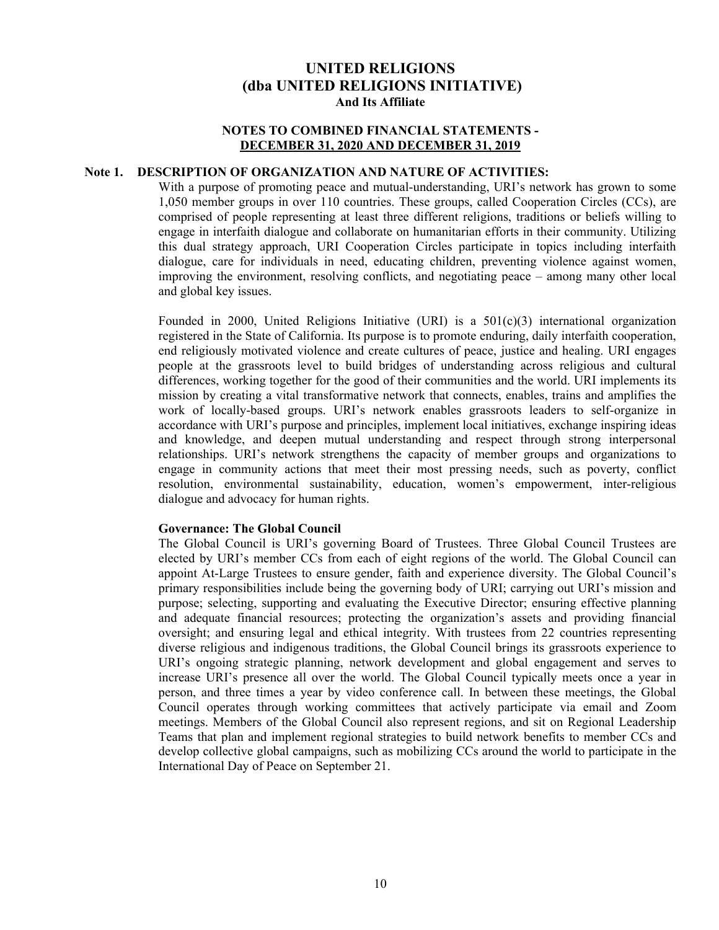#### **NOTES TO COMBINED FINANCIAL STATEMENTS - DECEMBER 31, 2020 AND DECEMBER 31, 2019**

#### **Note 1. DESCRIPTION OF ORGANIZATION AND NATURE OF ACTIVITIES:**

With a purpose of promoting peace and mutual-understanding, URI's network has grown to some 1,050 member groups in over 110 countries. These groups, called Cooperation Circles (CCs), are comprised of people representing at least three different religions, traditions or beliefs willing to engage in interfaith dialogue and collaborate on humanitarian efforts in their community. Utilizing this dual strategy approach, URI Cooperation Circles participate in topics including interfaith dialogue, care for individuals in need, educating children, preventing violence against women, improving the environment, resolving conflicts, and negotiating peace – among many other local and global key issues.

Founded in 2000, United Religions Initiative (URI) is a  $501(c)(3)$  international organization registered in the State of California. Its purpose is to promote enduring, daily interfaith cooperation, end religiously motivated violence and create cultures of peace, justice and healing. URI engages people at the grassroots level to build bridges of understanding across religious and cultural differences, working together for the good of their communities and the world. URI implements its mission by creating a vital transformative network that connects, enables, trains and amplifies the work of locally-based groups. URI's network enables grassroots leaders to self-organize in accordance with URI's purpose and principles, implement local initiatives, exchange inspiring ideas and knowledge, and deepen mutual understanding and respect through strong interpersonal relationships. URI's network strengthens the capacity of member groups and organizations to engage in community actions that meet their most pressing needs, such as poverty, conflict resolution, environmental sustainability, education, women's empowerment, inter-religious dialogue and advocacy for human rights.

#### **Governance: The Global Council**

The Global Council is URI's governing Board of Trustees. Three Global Council Trustees are elected by URI's member CCs from each of eight regions of the world. The Global Council can appoint At-Large Trustees to ensure gender, faith and experience diversity. The Global Council's primary responsibilities include being the governing body of URI; carrying out URI's mission and purpose; selecting, supporting and evaluating the Executive Director; ensuring effective planning and adequate financial resources; protecting the organization's assets and providing financial oversight; and ensuring legal and ethical integrity. With trustees from 22 countries representing diverse religious and indigenous traditions, the Global Council brings its grassroots experience to URI's ongoing strategic planning, network development and global engagement and serves to increase URI's presence all over the world. The Global Council typically meets once a year in person, and three times a year by video conference call. In between these meetings, the Global Council operates through working committees that actively participate via email and Zoom meetings. Members of the Global Council also represent regions, and sit on Regional Leadership Teams that plan and implement regional strategies to build network benefits to member CCs and develop collective global campaigns, such as mobilizing CCs around the world to participate in the International Day of Peace on September 21.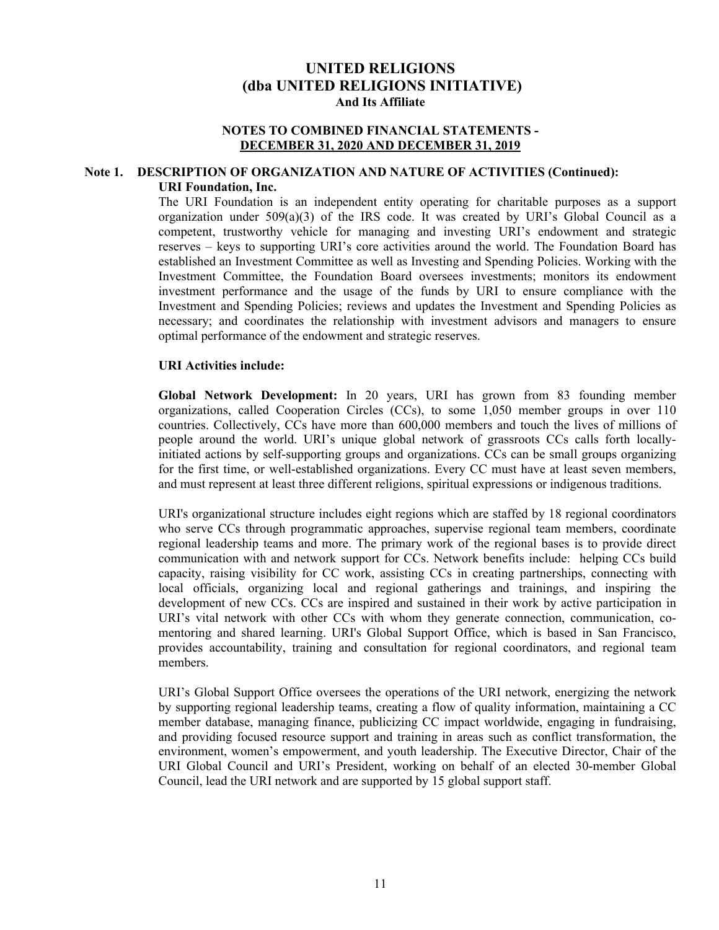#### **NOTES TO COMBINED FINANCIAL STATEMENTS - DECEMBER 31, 2020 AND DECEMBER 31, 2019**

#### **Note 1. DESCRIPTION OF ORGANIZATION AND NATURE OF ACTIVITIES (Continued): URI Foundation, Inc.**

The URI Foundation is an independent entity operating for charitable purposes as a support organization under 509(a)(3) of the IRS code. It was created by URI's Global Council as a competent, trustworthy vehicle for managing and investing URI's endowment and strategic reserves – keys to supporting URI's core activities around the world. The Foundation Board has established an Investment Committee as well as Investing and Spending Policies. Working with the Investment Committee, the Foundation Board oversees investments; monitors its endowment investment performance and the usage of the funds by URI to ensure compliance with the Investment and Spending Policies; reviews and updates the Investment and Spending Policies as necessary; and coordinates the relationship with investment advisors and managers to ensure optimal performance of the endowment and strategic reserves.

#### **URI Activities include:**

**Global Network Development:** In 20 years, URI has grown from 83 founding member organizations, called Cooperation Circles (CCs), to some 1,050 member groups in over 110 countries. Collectively, CCs have more than 600,000 members and touch the lives of millions of people around the world. URI's unique global network of grassroots CCs calls forth locallyinitiated actions by self-supporting groups and organizations. CCs can be small groups organizing for the first time, or well-established organizations. Every CC must have at least seven members, and must represent at least three different religions, spiritual expressions or indigenous traditions.

URI's organizational structure includes eight regions which are staffed by 18 regional coordinators who serve CCs through programmatic approaches, supervise regional team members, coordinate regional leadership teams and more. The primary work of the regional bases is to provide direct communication with and network support for CCs. Network benefits include: helping CCs build capacity, raising visibility for CC work, assisting CCs in creating partnerships, connecting with local officials, organizing local and regional gatherings and trainings, and inspiring the development of new CCs. CCs are inspired and sustained in their work by active participation in URI's vital network with other CCs with whom they generate connection, communication, comentoring and shared learning. URI's Global Support Office, which is based in San Francisco, provides accountability, training and consultation for regional coordinators, and regional team members.

URI's Global Support Office oversees the operations of the URI network, energizing the network by supporting regional leadership teams, creating a flow of quality information, maintaining a CC member database, managing finance, publicizing CC impact worldwide, engaging in fundraising, and providing focused resource support and training in areas such as conflict transformation, the environment, women's empowerment, and youth leadership. The Executive Director, Chair of the URI Global Council and URI's President, working on behalf of an elected 30-member Global Council, lead the URI network and are supported by 15 global support staff.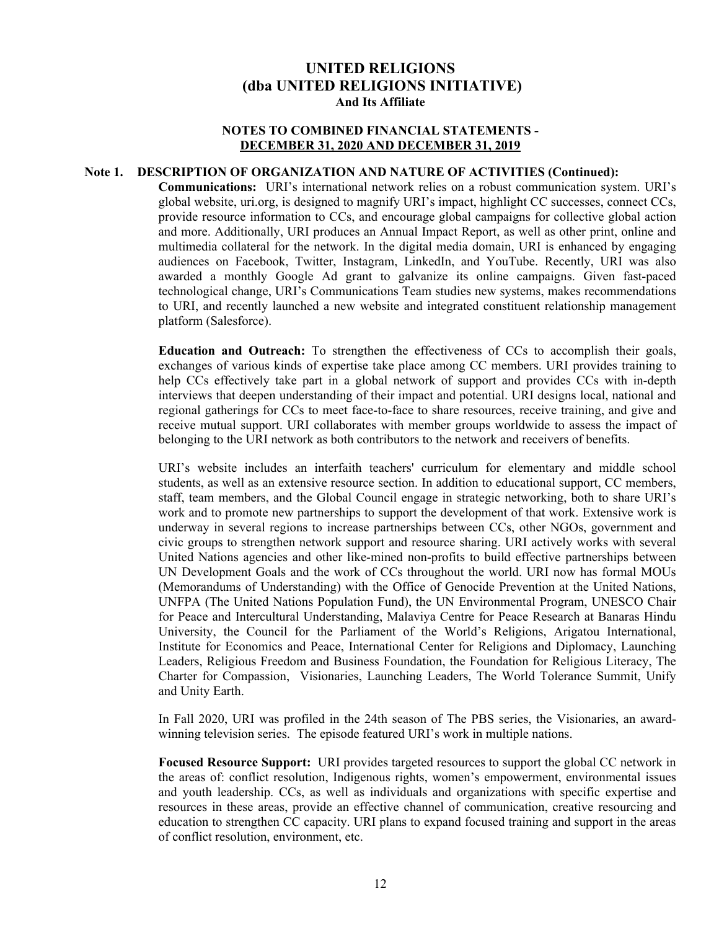#### **NOTES TO COMBINED FINANCIAL STATEMENTS - DECEMBER 31, 2020 AND DECEMBER 31, 2019**

#### **Note 1. DESCRIPTION OF ORGANIZATION AND NATURE OF ACTIVITIES (Continued):**

**Communications:** URI's international network relies on a robust communication system. URI's global website, uri.org, is designed to magnify URI's impact, highlight CC successes, connect CCs, provide resource information to CCs, and encourage global campaigns for collective global action and more. Additionally, URI produces an Annual Impact Report, as well as other print, online and multimedia collateral for the network. In the digital media domain, URI is enhanced by engaging audiences on Facebook, Twitter, Instagram, LinkedIn, and YouTube. Recently, URI was also awarded a monthly Google Ad grant to galvanize its online campaigns. Given fast-paced technological change, URI's Communications Team studies new systems, makes recommendations to URI, and recently launched a new website and integrated constituent relationship management platform (Salesforce).

**Education and Outreach:** To strengthen the effectiveness of CCs to accomplish their goals, exchanges of various kinds of expertise take place among CC members. URI provides training to help CCs effectively take part in a global network of support and provides CCs with in-depth interviews that deepen understanding of their impact and potential. URI designs local, national and regional gatherings for CCs to meet face-to-face to share resources, receive training, and give and receive mutual support. URI collaborates with member groups worldwide to assess the impact of belonging to the URI network as both contributors to the network and receivers of benefits.

URI's website includes an interfaith teachers' curriculum for elementary and middle school students, as well as an extensive resource section. In addition to educational support, CC members, staff, team members, and the Global Council engage in strategic networking, both to share URI's work and to promote new partnerships to support the development of that work. Extensive work is underway in several regions to increase partnerships between CCs, other NGOs, government and civic groups to strengthen network support and resource sharing. URI actively works with several United Nations agencies and other like-mined non-profits to build effective partnerships between UN Development Goals and the work of CCs throughout the world. URI now has formal MOUs (Memorandums of Understanding) with the Office of Genocide Prevention at the United Nations, UNFPA (The United Nations Population Fund), the UN Environmental Program, UNESCO Chair for Peace and Intercultural Understanding, Malaviya Centre for Peace Research at Banaras Hindu University, the Council for the Parliament of the World's Religions, Arigatou International, Institute for Economics and Peace, International Center for Religions and Diplomacy, Launching Leaders, Religious Freedom and Business Foundation, the Foundation for Religious Literacy, The Charter for Compassion, Visionaries, Launching Leaders, The World Tolerance Summit, Unify and Unity Earth.

In Fall 2020, URI was profiled in the 24th season of The PBS series, the Visionaries, an awardwinning television series. The episode featured URI's work in multiple nations.

**Focused Resource Support:** URI provides targeted resources to support the global CC network in the areas of: conflict resolution, Indigenous rights, women's empowerment, environmental issues and youth leadership. CCs, as well as individuals and organizations with specific expertise and resources in these areas, provide an effective channel of communication, creative resourcing and education to strengthen CC capacity. URI plans to expand focused training and support in the areas of conflict resolution, environment, etc.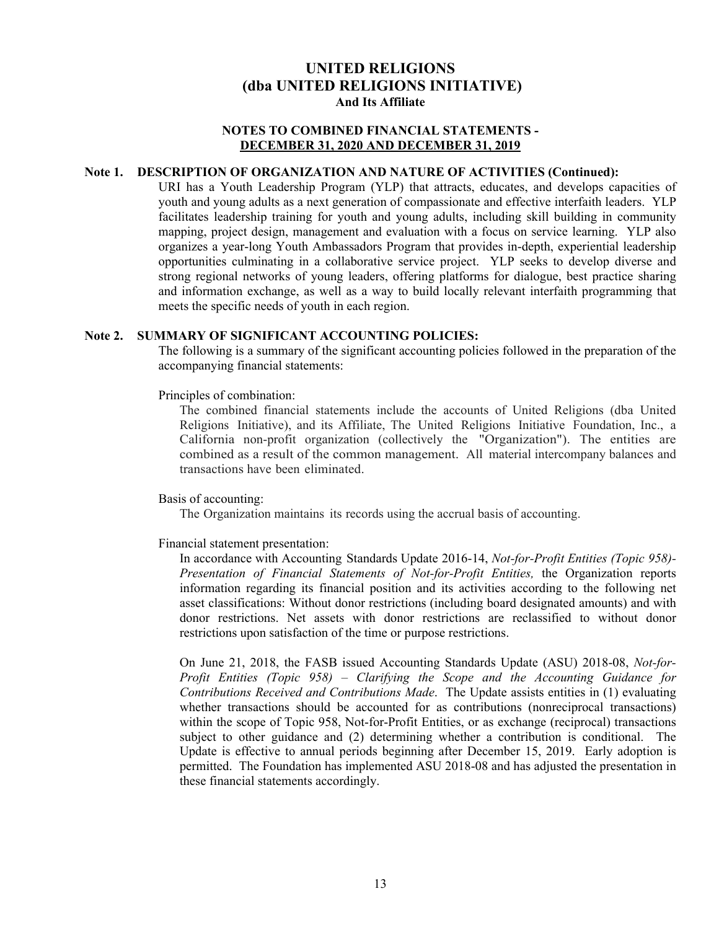#### **NOTES TO COMBINED FINANCIAL STATEMENTS - DECEMBER 31, 2020 AND DECEMBER 31, 2019**

#### **Note 1. DESCRIPTION OF ORGANIZATION AND NATURE OF ACTIVITIES (Continued):**

URI has a Youth Leadership Program (YLP) that attracts, educates, and develops capacities of youth and young adults as a next generation of compassionate and effective interfaith leaders. YLP facilitates leadership training for youth and young adults, including skill building in community mapping, project design, management and evaluation with a focus on service learning. YLP also organizes a year-long Youth Ambassadors Program that provides in-depth, experiential leadership opportunities culminating in a collaborative service project. YLP seeks to develop diverse and strong regional networks of young leaders, offering platforms for dialogue, best practice sharing and information exchange, as well as a way to build locally relevant interfaith programming that meets the specific needs of youth in each region.

#### **Note 2. SUMMARY OF SIGNIFICANT ACCOUNTING POLICIES:**

The following is a summary of the significant accounting policies followed in the preparation of the accompanying financial statements:

Principles of combination:

The combined financial statements include the accounts of United Religions (dba United Religions Initiative), and its Affiliate, The United Religions Initiative Foundation, Inc., a California non-profit organization (collectively the "Organization"). The entities are combined as a result of the common management. All material intercompany balances and transactions have been eliminated.

Basis of accounting:

The Organization maintains its records using the accrual basis of accounting.

Financial statement presentation:

In accordance with Accounting Standards Update 2016-14, *Not-for-Profit Entities (Topic 958)- Presentation of Financial Statements of Not-for-Profit Entities,* the Organization reports information regarding its financial position and its activities according to the following net asset classifications: Without donor restrictions (including board designated amounts) and with donor restrictions. Net assets with donor restrictions are reclassified to without donor restrictions upon satisfaction of the time or purpose restrictions.

On June 21, 2018, the FASB issued Accounting Standards Update (ASU) 2018-08, *Not-for-Profit Entities (Topic 958) – Clarifying the Scope and the Accounting Guidance for Contributions Received and Contributions Made*. The Update assists entities in (1) evaluating whether transactions should be accounted for as contributions (nonreciprocal transactions) within the scope of Topic 958, Not-for-Profit Entities, or as exchange (reciprocal) transactions subject to other guidance and (2) determining whether a contribution is conditional. The Update is effective to annual periods beginning after December 15, 2019. Early adoption is permitted. The Foundation has implemented ASU 2018-08 and has adjusted the presentation in these financial statements accordingly.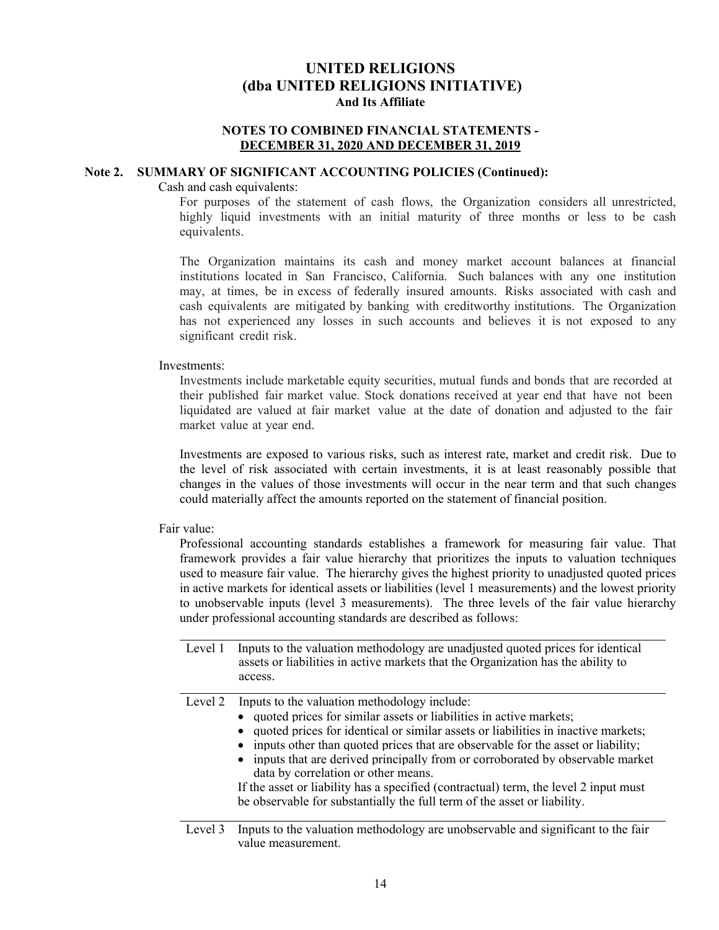#### **NOTES TO COMBINED FINANCIAL STATEMENTS - DECEMBER 31, 2020 AND DECEMBER 31, 2019**

#### **Note 2. SUMMARY OF SIGNIFICANT ACCOUNTING POLICIES (Continued):**

Cash and cash equivalents:

For purposes of the statement of cash flows, the Organization considers all unrestricted, highly liquid investments with an initial maturity of three months or less to be cash equivalents.

The Organization maintains its cash and money market account balances at financial institutions located in San Francisco, California. Such balances with any one institution may, at times, be in excess of federally insured amounts. Risks associated with cash and cash equivalents are mitigated by banking with creditworthy institutions. The Organization has not experienced any losses in such accounts and believes it is not exposed to any significant credit risk.

Investments:

Investments include marketable equity securities, mutual funds and bonds that are recorded at their published fair market value. Stock donations received at year end that have not been liquidated are valued at fair market value at the date of donation and adjusted to the fair market value at year end.

Investments are exposed to various risks, such as interest rate, market and credit risk. Due to the level of risk associated with certain investments, it is at least reasonably possible that changes in the values of those investments will occur in the near term and that such changes could materially affect the amounts reported on the statement of financial position.

#### Fair value:

Professional accounting standards establishes a framework for measuring fair value. That framework provides a fair value hierarchy that prioritizes the inputs to valuation techniques used to measure fair value. The hierarchy gives the highest priority to unadjusted quoted prices in active markets for identical assets or liabilities (level 1 measurements) and the lowest priority to unobservable inputs (level 3 measurements). The three levels of the fair value hierarchy under professional accounting standards are described as follows:

| Level 1 | Inputs to the valuation methodology are unadjusted quoted prices for identical<br>assets or liabilities in active markets that the Organization has the ability to<br>access.                                                                                                                                                                                                                                                                                                                                                                                                                  |
|---------|------------------------------------------------------------------------------------------------------------------------------------------------------------------------------------------------------------------------------------------------------------------------------------------------------------------------------------------------------------------------------------------------------------------------------------------------------------------------------------------------------------------------------------------------------------------------------------------------|
| Level 2 | Inputs to the valuation methodology include:<br>• quoted prices for similar assets or liabilities in active markets;<br>• quoted prices for identical or similar assets or liabilities in inactive markets;<br>• inputs other than quoted prices that are observable for the asset or liability;<br>• inputs that are derived principally from or corroborated by observable market<br>data by correlation or other means.<br>If the asset or liability has a specified (contractual) term, the level 2 input must<br>be observable for substantially the full term of the asset or liability. |
| Level 3 | Inputs to the valuation methodology are unobservable and significant to the fair                                                                                                                                                                                                                                                                                                                                                                                                                                                                                                               |

value measurement.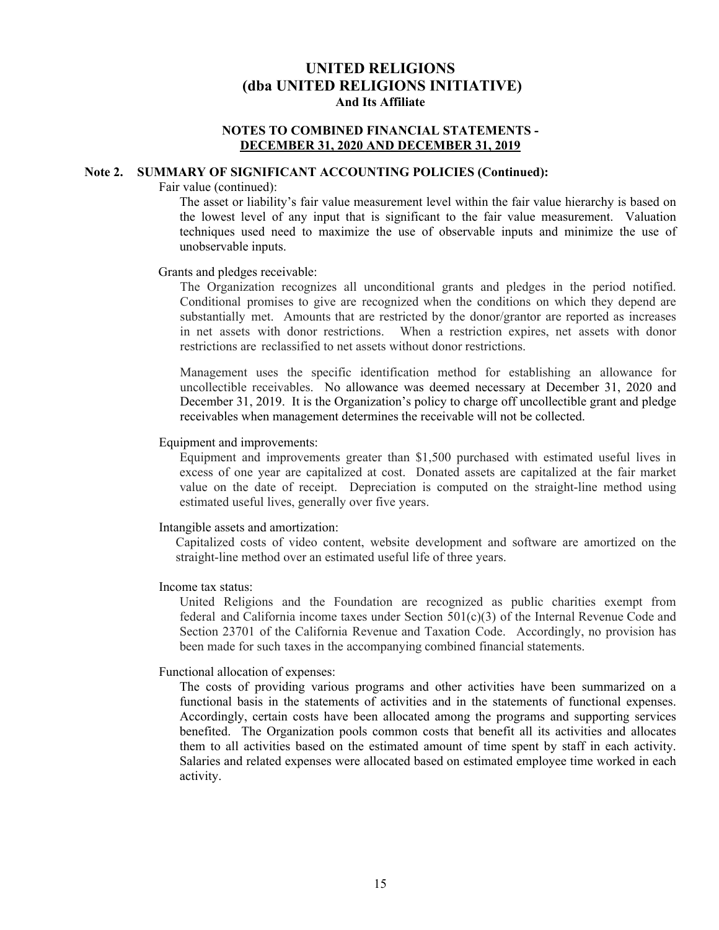#### **NOTES TO COMBINED FINANCIAL STATEMENTS - DECEMBER 31, 2020 AND DECEMBER 31, 2019**

#### **Note 2. SUMMARY OF SIGNIFICANT ACCOUNTING POLICIES (Continued):**

Fair value (continued):

The asset or liability's fair value measurement level within the fair value hierarchy is based on the lowest level of any input that is significant to the fair value measurement. Valuation techniques used need to maximize the use of observable inputs and minimize the use of unobservable inputs.

#### Grants and pledges receivable:

The Organization recognizes all unconditional grants and pledges in the period notified. Conditional promises to give are recognized when the conditions on which they depend are substantially met. Amounts that are restricted by the donor/grantor are reported as increases in net assets with donor restrictions. When a restriction expires, net assets with donor restrictions are reclassified to net assets without donor restrictions.

Management uses the specific identification method for establishing an allowance for uncollectible receivables. No allowance was deemed necessary at December 31, 2020 and December 31, 2019. It is the Organization's policy to charge off uncollectible grant and pledge receivables when management determines the receivable will not be collected.

#### Equipment and improvements:

Equipment and improvements greater than \$1,500 purchased with estimated useful lives in excess of one year are capitalized at cost. Donated assets are capitalized at the fair market value on the date of receipt. Depreciation is computed on the straight-line method using estimated useful lives, generally over five years.

#### Intangible assets and amortization:

Capitalized costs of video content, website development and software are amortized on the straight-line method over an estimated useful life of three years.

#### Income tax status:

United Religions and the Foundation are recognized as public charities exempt from federal and California income taxes under Section 501(c)(3) of the Internal Revenue Code and Section 23701 of the California Revenue and Taxation Code. Accordingly, no provision has been made for such taxes in the accompanying combined financial statements.

#### Functional allocation of expenses:

The costs of providing various programs and other activities have been summarized on a functional basis in the statements of activities and in the statements of functional expenses. Accordingly, certain costs have been allocated among the programs and supporting services benefited. The Organization pools common costs that benefit all its activities and allocates them to all activities based on the estimated amount of time spent by staff in each activity. Salaries and related expenses were allocated based on estimated employee time worked in each activity.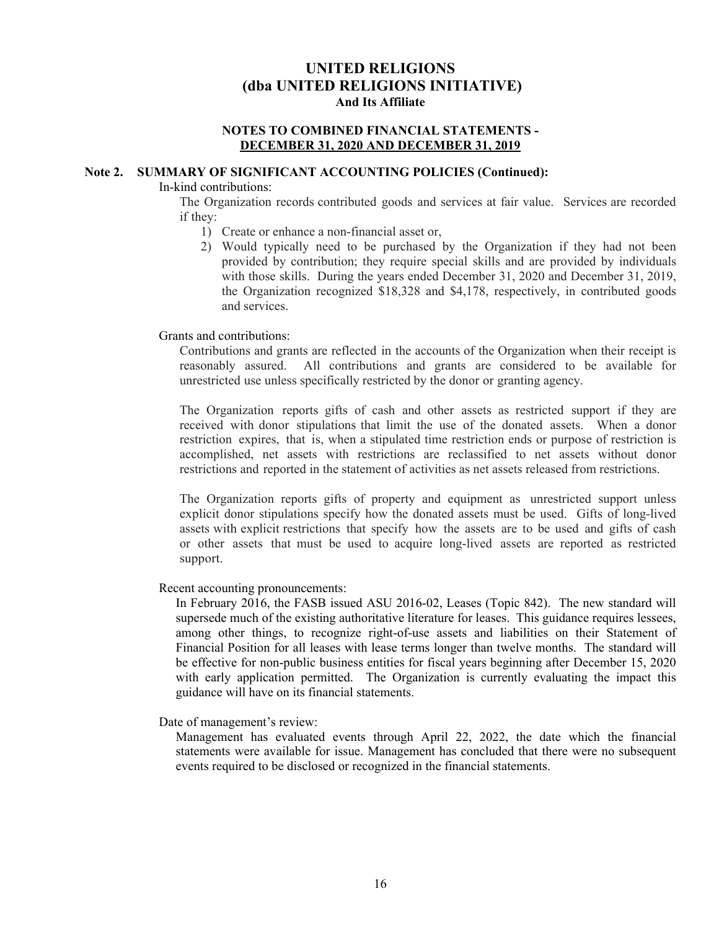#### **NOTES TO COMBINED FINANCIAL STATEMENTS - DECEMBER 31, 2020 AND DECEMBER 31, 2019**

#### **Note 2. SUMMARY OF SIGNIFICANT ACCOUNTING POLICIES (Continued):**

In-kind contributions:

The Organization records contributed goods and services at fair value. Services are recorded if they:

- 1) Create or enhance a non-financial asset or,
- 2) Would typically need to be purchased by the Organization if they had not been provided by contribution; they require special skills and are provided by individuals with those skills. During the years ended December 31, 2020 and December 31, 2019, the Organization recognized \$18,328 and \$4,178, respectively, in contributed goods and services.

Grants and contributions:

Contributions and grants are reflected in the accounts of the Organization when their receipt is reasonably assured. All contributions and grants are considered to be available for unrestricted use unless specifically restricted by the donor or granting agency.

The Organization reports gifts of cash and other assets as restricted support if they are received with donor stipulations that limit the use of the donated assets. When a donor restriction expires, that is, when a stipulated time restriction ends or purpose of restriction is accomplished, net assets with restrictions are reclassified to net assets without donor restrictions and reported in the statement of activities as net assets released from restrictions.

The Organization reports gifts of property and equipment as unrestricted support unless explicit donor stipulations specify how the donated assets must be used. Gifts of long-lived assets with explicit restrictions that specify how the assets are to be used and gifts of cash or other assets that must be used to acquire long-lived assets are reported as restricted support.

Recent accounting pronouncements:

In February 2016, the FASB issued ASU 2016-02, Leases (Topic 842). The new standard will supersede much of the existing authoritative literature for leases. This guidance requires lessees, among other things, to recognize right-of-use assets and liabilities on their Statement of Financial Position for all leases with lease terms longer than twelve months. The standard will be effective for non-public business entities for fiscal years beginning after December 15, 2020 with early application permitted. The Organization is currently evaluating the impact this guidance will have on its financial statements.

Date of management's review:

Management has evaluated events through April 22, 2022, the date which the financial statements were available for issue. Management has concluded that there were no subsequent events required to be disclosed or recognized in the financial statements.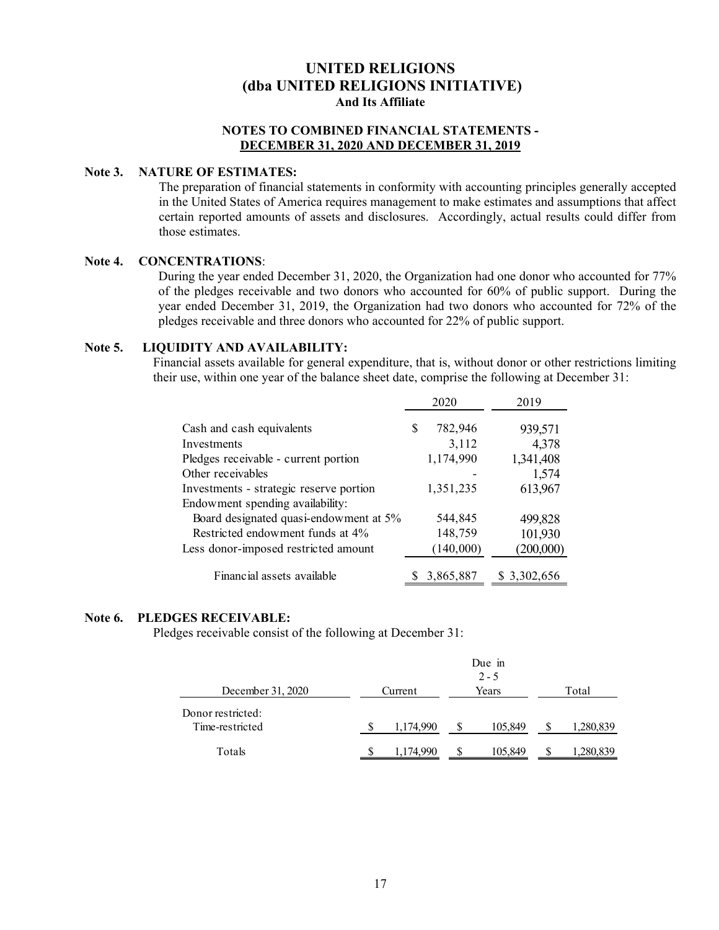#### **NOTES TO COMBINED FINANCIAL STATEMENTS - DECEMBER 31, 2020 AND DECEMBER 31, 2019**

#### **Note 3. NATURE OF ESTIMATES:**

The preparation of financial statements in conformity with accounting principles generally accepted in the United States of America requires management to make estimates and assumptions that affect certain reported amounts of assets and disclosures. Accordingly, actual results could differ from those estimates.

#### **Note 4. CONCENTRATIONS**:

During the year ended December 31, 2020, the Organization had one donor who accounted for 77% of the pledges receivable and two donors who accounted for 60% of public support. During the year ended December 31, 2019, the Organization had two donors who accounted for 72% of the pledges receivable and three donors who accounted for 22% of public support.

#### **Note 5. LIQUIDITY AND AVAILABILITY:**

Financial assets available for general expenditure, that is, without donor or other restrictions limiting their use, within one year of the balance sheet date, comprise the following at December 31:

|                                         |   | 2020      | 2019         |
|-----------------------------------------|---|-----------|--------------|
| Cash and cash equivalents               | S | 782,946   | 939,571      |
| Investments                             |   | 3,112     | 4,378        |
| Pledges receivable - current portion    |   | 1,174,990 | 1,341,408    |
| Other receivables                       |   |           | 1,574        |
| Investments - strategic reserve portion |   | 1,351,235 | 613,967      |
| Endowment spending availability:        |   |           |              |
| Board designated quasi-endowment at 5%  |   | 544,845   | 499,828      |
| Restricted endowment funds at 4%        |   | 148,759   | 101,930      |
| Less donor-imposed restricted amount    |   | (140,000) | (200,000)    |
| Financial assets available              |   | 3,865,887 | \$ 3,302,656 |

#### **Note 6. PLEDGES RECEIVABLE:**

Pledges receivable consist of the following at December 31:

|                                      |                  |           |   | Due in<br>$2 - 5$ |           |
|--------------------------------------|------------------|-----------|---|-------------------|-----------|
| December 31, 2020                    | Years<br>Current |           |   |                   | Total     |
| Donor restricted:<br>Time-restricted |                  | 1,174,990 | Ж | 105,849           | 1,280,839 |
| Totals                               |                  | 1,174,990 |   | 105,849           | 280,839.ا |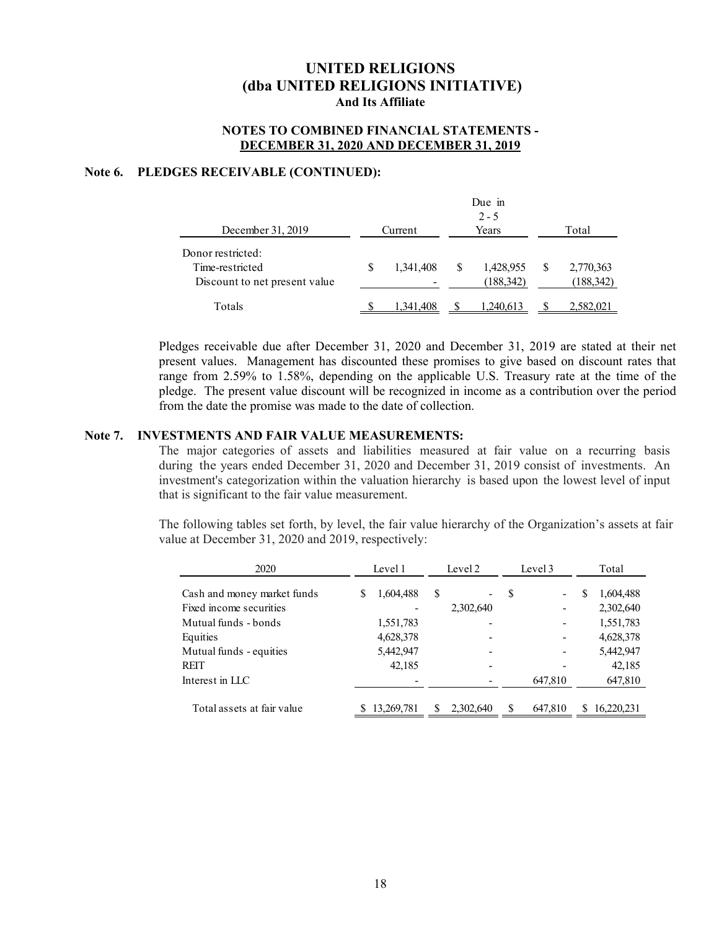#### **NOTES TO COMBINED FINANCIAL STATEMENTS - DECEMBER 31, 2020 AND DECEMBER 31, 2019**

#### **Note 6. PLEDGES RECEIVABLE (CONTINUED):**

|                                                                       |                  |           |  | Due in<br>$2 - 5$       |  |                         |  |  |
|-----------------------------------------------------------------------|------------------|-----------|--|-------------------------|--|-------------------------|--|--|
| December 31, 2019                                                     | Years<br>Current |           |  |                         |  | Total                   |  |  |
| Donor restricted:<br>Time-restricted<br>Discount to net present value | S                | 1,341,408 |  | 1,428,955<br>(188, 342) |  | 2,770,363<br>(188, 342) |  |  |
| Totals                                                                |                  | 1,341,408 |  | 1,240,613               |  | 2,582,021               |  |  |

Pledges receivable due after December 31, 2020 and December 31, 2019 are stated at their net present values. Management has discounted these promises to give based on discount rates that range from 2.59% to 1.58%, depending on the applicable U.S. Treasury rate at the time of the pledge. The present value discount will be recognized in income as a contribution over the period from the date the promise was made to the date of collection.

#### **Note 7. INVESTMENTS AND FAIR VALUE MEASUREMENTS:**

The major categories of assets and liabilities measured at fair value on a recurring basis during the years ended December 31, 2020 and December 31, 2019 consist of investments. An investment's categorization within the valuation hierarchy is based upon the lowest level of input that is significant to the fair value measurement.

The following tables set forth, by level, the fair value hierarchy of the Organization's assets at fair value at December 31, 2020 and 2019, respectively:

| 2020                        | Level 1    |           | Level 2 |           | Level 3 |                              | Total |            |
|-----------------------------|------------|-----------|---------|-----------|---------|------------------------------|-------|------------|
| Cash and money market funds |            | 1,604,488 | S       | ۰         | S       | $\qquad \qquad \blacksquare$ | S     | 1,604,488  |
| Fixed income securities     |            |           |         | 2,302,640 |         |                              |       | 2,302,640  |
| Mutual funds - bonds        |            | 1,551,783 |         |           |         |                              |       | 1,551,783  |
| Equities                    |            | 4,628,378 |         |           |         |                              |       | 4,628,378  |
| Mutual funds - equities     |            | 5,442,947 |         |           |         |                              |       | 5,442,947  |
| <b>REIT</b>                 |            | 42,185    |         |           |         |                              |       | 42,185     |
| Interest in LLC             |            |           |         |           |         | 647,810                      |       | 647,810    |
| Total assets at fair value  | 13,269,781 |           |         | 2,302,640 | S       | 647,810                      | S     | 16,220,231 |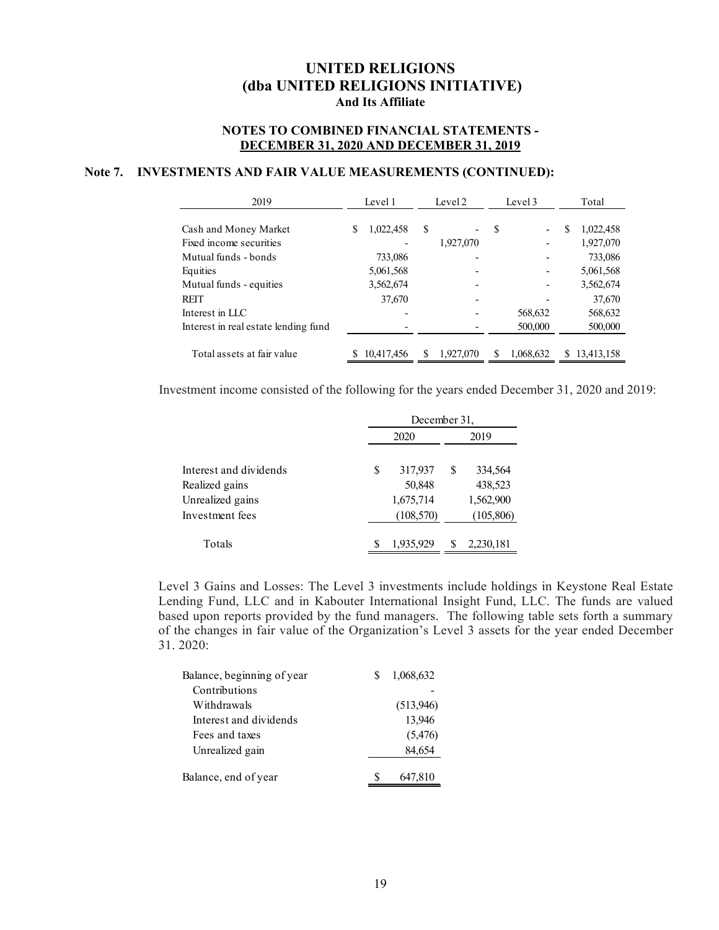#### **NOTES TO COMBINED FINANCIAL STATEMENTS - DECEMBER 31, 2020 AND DECEMBER 31, 2019**

#### **Note 7. INVESTMENTS AND FAIR VALUE MEASUREMENTS (CONTINUED):**

| 2019                                 |   | Level 1    | Level 2 |           | Level 3 |           | Total |            |
|--------------------------------------|---|------------|---------|-----------|---------|-----------|-------|------------|
|                                      |   |            |         |           |         |           |       |            |
| Cash and Money Market                | S | 1,022,458  | S       |           | S       |           | S     | 1,022,458  |
| Fixed income securities              |   |            |         | 1,927,070 |         |           |       | 1,927,070  |
| Mutual funds - bonds                 |   | 733,086    |         |           |         |           |       | 733,086    |
| Equities                             |   | 5,061,568  |         |           |         |           |       | 5,061,568  |
| Mutual funds - equities              |   | 3,562,674  |         |           |         |           |       | 3,562,674  |
| <b>REIT</b>                          |   | 37,670     |         |           |         |           |       | 37,670     |
| Interest in LLC                      |   |            |         |           |         | 568,632   |       | 568,632    |
| Interest in real estate lending fund |   |            |         |           |         | 500,000   |       | 500,000    |
|                                      |   |            |         |           |         |           |       |            |
| Total assets at fair value           |   | 10,417,456 |         | 1.927.070 |         | 1,068,632 |       | 13,413,158 |

Investment income consisted of the following for the years ended December 31, 2020 and 2019:

|                        |   | December 31, |   |           |  |  |
|------------------------|---|--------------|---|-----------|--|--|
|                        |   | 2020         |   | 2019      |  |  |
| Interest and dividends | S | 317,937      | S | 334,564   |  |  |
| Realized gains         |   | 50,848       |   | 438,523   |  |  |
| Unrealized gains       |   | 1,675,714    |   | 1,562,900 |  |  |
| Investment fees        |   | (108, 570)   |   | (105,806) |  |  |
| Totals                 |   | 1,935,929    |   | 2,230,181 |  |  |

Level 3 Gains and Losses: The Level 3 investments include holdings in Keystone Real Estate Lending Fund, LLC and in Kabouter International Insight Fund, LLC. The funds are valued based upon reports provided by the fund managers. The following table sets forth a summary of the changes in fair value of the Organization's Level 3 assets for the year ended December 31. 2020:

| 1,068,632 |
|-----------|
|           |
| (513,946) |
| 13,946    |
| (5, 476)  |
| 84,654    |
| 647,810   |
|           |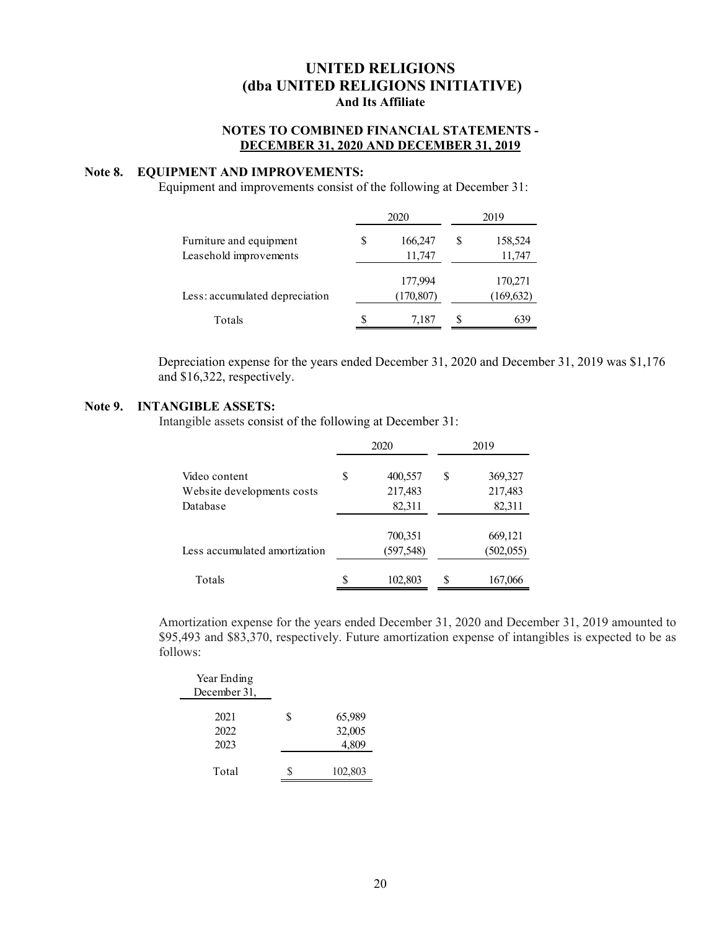#### **NOTES TO COMBINED FINANCIAL STATEMENTS - DECEMBER 31, 2020 AND DECEMBER 31, 2019**

#### **Note 8. EQUIPMENT AND IMPROVEMENTS:**

Equipment and improvements consist of the following at December 31:

|                                |   | 2020                  |   | 2019                  |
|--------------------------------|---|-----------------------|---|-----------------------|
| Furniture and equipment        | S | 166,247               | S | 158,524               |
| Leasehold improvements         |   | 11,747                |   | 11,747                |
| Less: accumulated depreciation |   | 177,994<br>(170, 807) |   | 170,271<br>(169, 632) |
| Totals                         | S | 7,187                 | S | 639                   |

Depreciation expense for the years ended December 31, 2020 and December 31, 2019 was \$1,176 and \$16,322, respectively.

#### **Note 9. INTANGIBLE ASSETS:**

Intangible assets consist of the following at December 31:

|                               |    | 2020       | 2019 |            |  |
|-------------------------------|----|------------|------|------------|--|
| Video content                 | \$ | 400,557    | \$   | 369,327    |  |
| Website developments costs    |    | 217,483    |      | 217,483    |  |
| Database                      |    | 82,311     |      | 82,311     |  |
|                               |    | 700,351    |      | 669,121    |  |
| Less accumulated amortization |    | (597, 548) |      | (502, 055) |  |
| Totals                        | S  | 102,803    | S    | 167,066    |  |

Amortization expense for the years ended December 31, 2020 and December 31, 2019 amounted to \$95,493 and \$83,370, respectively. Future amortization expense of intangibles is expected to be as follows:

| Year Ending  |   |         |
|--------------|---|---------|
| December 31, |   |         |
| 2021         | S | 65,989  |
| 2022         |   | 32,005  |
| 2023         |   | 4,809   |
|              |   |         |
| Total        |   | 102,803 |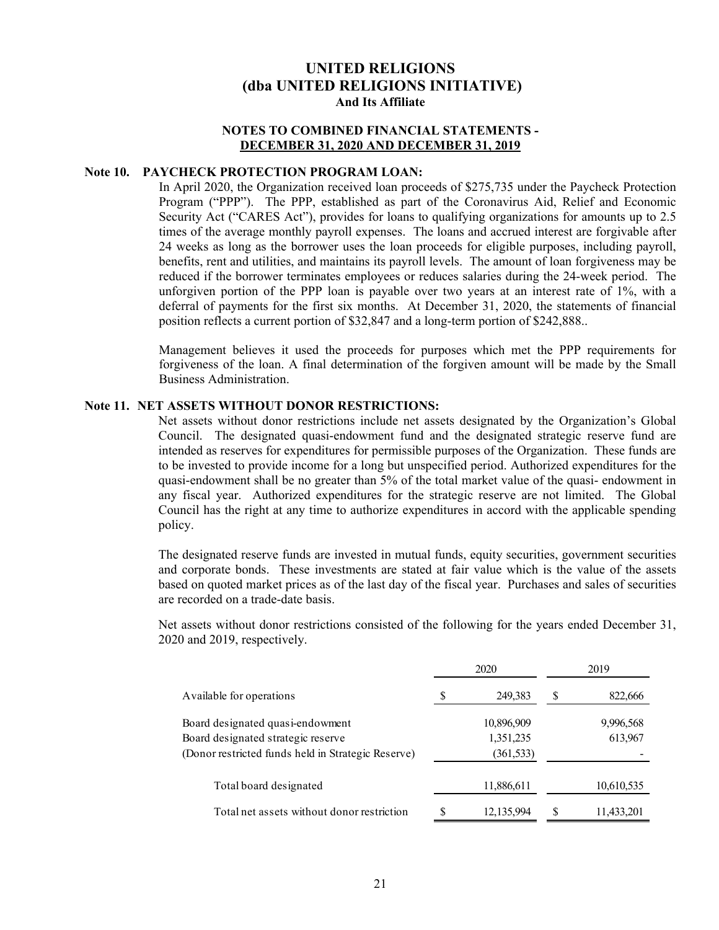#### **NOTES TO COMBINED FINANCIAL STATEMENTS - DECEMBER 31, 2020 AND DECEMBER 31, 2019**

#### **Note 10. PAYCHECK PROTECTION PROGRAM LOAN:**

In April 2020, the Organization received loan proceeds of \$275,735 under the Paycheck Protection Program ("PPP"). The PPP, established as part of the Coronavirus Aid, Relief and Economic Security Act ("CARES Act"), provides for loans to qualifying organizations for amounts up to 2.5 times of the average monthly payroll expenses. The loans and accrued interest are forgivable after 24 weeks as long as the borrower uses the loan proceeds for eligible purposes, including payroll, benefits, rent and utilities, and maintains its payroll levels. The amount of loan forgiveness may be reduced if the borrower terminates employees or reduces salaries during the 24-week period. The unforgiven portion of the PPP loan is payable over two years at an interest rate of 1%, with a deferral of payments for the first six months. At December 31, 2020, the statements of financial position reflects a current portion of \$32,847 and a long-term portion of \$242,888..

Management believes it used the proceeds for purposes which met the PPP requirements for forgiveness of the loan. A final determination of the forgiven amount will be made by the Small Business Administration.

#### **Note 11. NET ASSETS WITHOUT DONOR RESTRICTIONS:**

Net assets without donor restrictions include net assets designated by the Organization's Global Council. The designated quasi-endowment fund and the designated strategic reserve fund are intended as reserves for expenditures for permissible purposes of the Organization. These funds are to be invested to provide income for a long but unspecified period. Authorized expenditures for the quasi-endowment shall be no greater than 5% of the total market value of the quasi- endowment in any fiscal year. Authorized expenditures for the strategic reserve are not limited. The Global Council has the right at any time to authorize expenditures in accord with the applicable spending policy.

The designated reserve funds are invested in mutual funds, equity securities, government securities and corporate bonds. These investments are stated at fair value which is the value of the assets based on quoted market prices as of the last day of the fiscal year. Purchases and sales of securities are recorded on a trade-date basis.

Net assets without donor restrictions consisted of the following for the years ended December 31, 2020 and 2019, respectively.

|                                                    |   | 2020       |   | 2019       |
|----------------------------------------------------|---|------------|---|------------|
| Available for operations                           |   | 249,383    | S | 822,666    |
| Board designated quasi-endowment                   |   | 10,896,909 |   | 9,996,568  |
| Board designated strategic reserve                 |   | 1,351,235  |   | 613,967    |
| (Donor restricted funds held in Strategic Reserve) |   | (361, 533) |   |            |
| Total board designated                             |   | 11,886,611 |   | 10,610,535 |
| Total net assets without donor restriction         | S | 12,135,994 | S | 11,433,201 |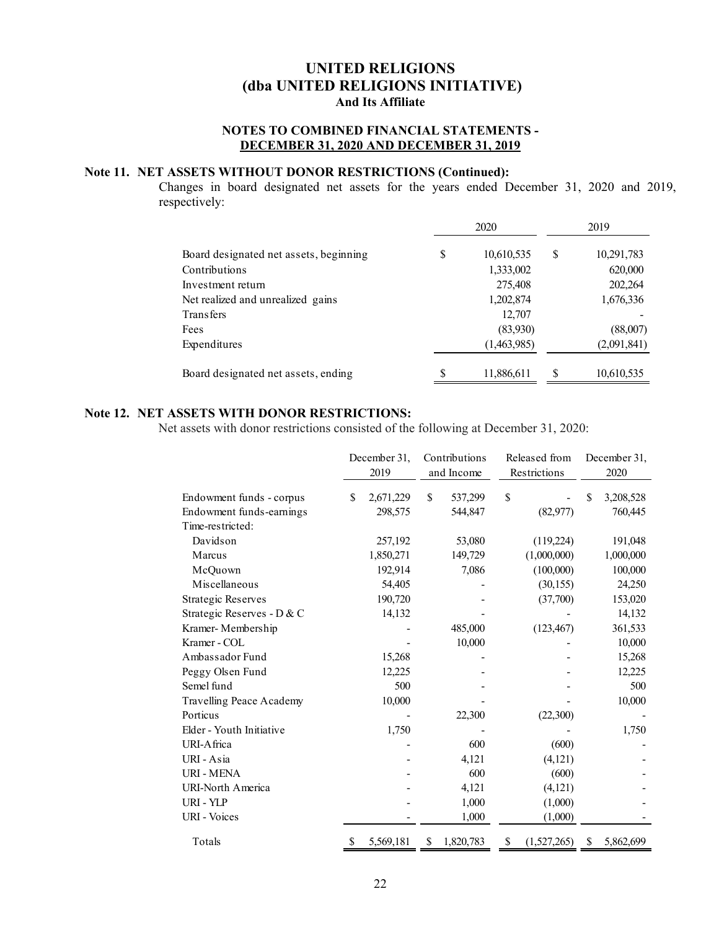### **NOTES TO COMBINED FINANCIAL STATEMENTS - DECEMBER 31, 2020 AND DECEMBER 31, 2019**

#### **Note 11. NET ASSETS WITHOUT DONOR RESTRICTIONS (Continued):**

Changes in board designated net assets for the years ended December 31, 2020 and 2019, respectively:

|                                        | 2020             |    | 2019        |
|----------------------------------------|------------------|----|-------------|
| Board designated net assets, beginning | \$<br>10,610,535 | S  | 10,291,783  |
| Contributions                          | 1,333,002        |    | 620,000     |
| Investment return                      | 275,408          |    | 202,264     |
| Net realized and unrealized gains      | 1,202,874        |    | 1,676,336   |
| <b>Transfers</b>                       | 12,707           |    |             |
| Fees                                   | (83,930)         |    | (88,007)    |
| Expenditures                           | (1,463,985)      |    | (2,091,841) |
| Board designated net assets, ending    | \$<br>11,886,611 | \$ | 10,610,535  |

### **Note 12. NET ASSETS WITH DONOR RESTRICTIONS:**

Net assets with donor restrictions consisted of the following at December 31, 2020:

|                            |    | December 31,<br>2019 | Contributions<br>and Income |           | Released from<br>Restrictions |             | December 31,<br>2020 |           |
|----------------------------|----|----------------------|-----------------------------|-----------|-------------------------------|-------------|----------------------|-----------|
| Endowment funds - corpus   | \$ | 2,671,229            | \$                          | 537,299   | \$                            |             | S                    | 3,208,528 |
| Endowment funds-earnings   |    | 298,575              |                             | 544,847   |                               | (82, 977)   |                      | 760,445   |
| Time-restricted:           |    |                      |                             |           |                               |             |                      |           |
| Davidson                   |    | 257,192              |                             | 53,080    |                               | (119,224)   |                      | 191,048   |
| Marcus                     |    | 1,850,271            |                             | 149,729   |                               | (1,000,000) |                      | 1,000,000 |
| McQuown                    |    | 192,914              |                             | 7,086     |                               | (100,000)   |                      | 100,000   |
| Miscellaneous              |    | 54,405               |                             |           |                               | (30, 155)   |                      | 24,250    |
| <b>Strategic Reserves</b>  |    | 190,720              |                             |           |                               | (37,700)    |                      | 153,020   |
| Strategic Reserves - D & C |    | 14,132               |                             |           |                               |             |                      | 14,132    |
| Kramer-Membership          |    |                      |                             | 485,000   |                               | (123, 467)  |                      | 361,533   |
| Kramer - COL               |    |                      |                             | 10,000    |                               |             |                      | 10,000    |
| Ambassador Fund            |    | 15,268               |                             |           |                               |             |                      | 15,268    |
| Peggy Olsen Fund           |    | 12,225               |                             |           |                               |             |                      | 12,225    |
| Semel fund                 |    | 500                  |                             |           |                               |             |                      | 500       |
| Travelling Peace Academy   |    | 10,000               |                             |           |                               |             |                      | 10,000    |
| Porticus                   |    |                      |                             | 22,300    |                               | (22,300)    |                      |           |
| Elder - Youth Initiative   |    | 1,750                |                             |           |                               |             |                      | 1,750     |
| URI-Africa                 |    |                      |                             | 600       |                               | (600)       |                      |           |
| URI - Asia                 |    |                      |                             | 4,121     |                               | (4,121)     |                      |           |
| <b>URI - MENA</b>          |    |                      |                             | 600       |                               | (600)       |                      |           |
| <b>URI-North America</b>   |    |                      |                             | 4,121     |                               | (4, 121)    |                      |           |
| URI - YLP                  |    |                      |                             | 1,000     |                               | (1,000)     |                      |           |
| <b>URI</b> - Voices        |    |                      |                             | 1,000     |                               | (1,000)     |                      |           |
| Totals                     | S  | 5,569,181            | \$                          | 1,820,783 | \$                            | (1,527,265) | S                    | 5,862,699 |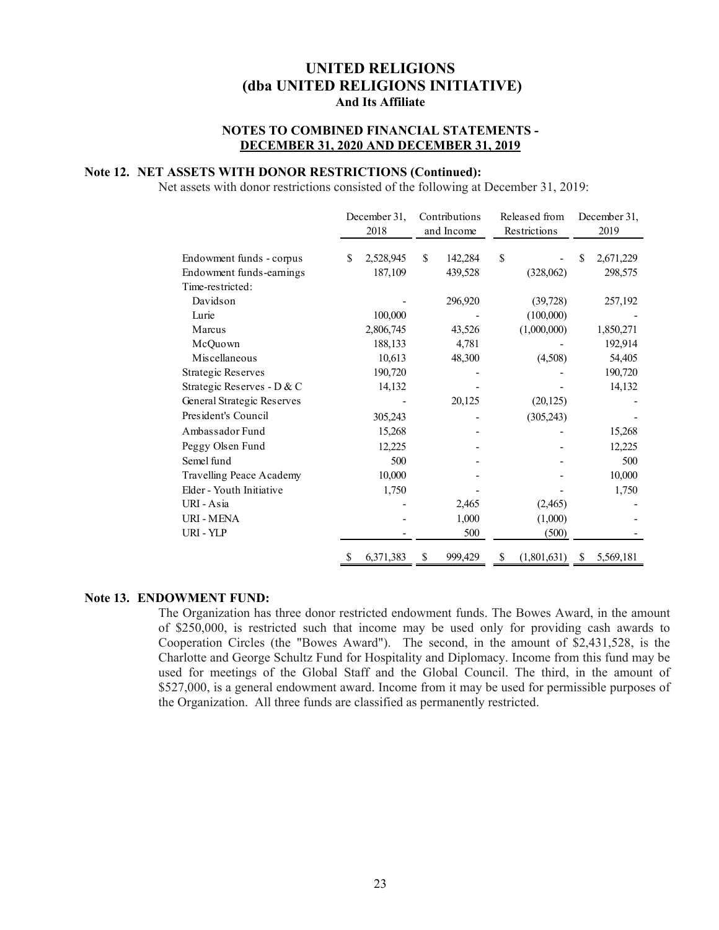#### **NOTES TO COMBINED FINANCIAL STATEMENTS - DECEMBER 31, 2020 AND DECEMBER 31, 2019**

#### **Note 12. NET ASSETS WITH DONOR RESTRICTIONS (Continued):**

Net assets with donor restrictions consisted of the following at December 31, 2019:

|                            | December 31,<br>2018 | Contributions<br>and Income |         | Released from<br>Restrictions |   | December 31,<br>2019 |  |
|----------------------------|----------------------|-----------------------------|---------|-------------------------------|---|----------------------|--|
| Endowment funds - corpus   | \$<br>2,528,945      | \$                          | 142,284 | \$                            | S | 2,671,229            |  |
| Endowment funds-earnings   | 187,109              |                             | 439,528 | (328,062)                     |   | 298,575              |  |
| Time-restricted:           |                      |                             |         |                               |   |                      |  |
| Davidson                   |                      |                             | 296,920 | (39, 728)                     |   | 257,192              |  |
| Lurie                      | 100,000              |                             |         | (100,000)                     |   |                      |  |
| Marcus                     | 2,806,745            |                             | 43,526  | (1,000,000)                   |   | 1,850,271            |  |
| McQuown                    | 188,133              |                             | 4,781   |                               |   | 192,914              |  |
| Miscellaneous              | 10,613               |                             | 48,300  | (4,508)                       |   | 54,405               |  |
| <b>Strategic Reserves</b>  | 190,720              |                             |         |                               |   | 190,720              |  |
| Strategic Reserves - D & C | 14,132               |                             |         |                               |   | 14,132               |  |
| General Strategic Reserves |                      |                             | 20,125  | (20, 125)                     |   |                      |  |
| President's Council        | 305,243              |                             |         | (305, 243)                    |   |                      |  |
| Ambassador Fund            | 15,268               |                             |         |                               |   | 15,268               |  |
| Peggy Olsen Fund           | 12,225               |                             |         |                               |   | 12,225               |  |
| Semel fund                 | 500                  |                             |         |                               |   | 500                  |  |
| Travelling Peace Academy   | 10,000               |                             |         |                               |   | 10,000               |  |
| Elder - Youth Initiative   | 1,750                |                             |         |                               |   | 1,750                |  |
| URI - Asia                 |                      |                             | 2,465   | (2,465)                       |   |                      |  |
| <b>URI - MENA</b>          |                      |                             | 1,000   | (1,000)                       |   |                      |  |
| URI - YLP                  |                      |                             | 500     | (500)                         |   |                      |  |
|                            | \$<br>6,371,383      | \$                          | 999,429 | \$<br>(1,801,631)             | S | 5,569,181            |  |

#### **Note 13. ENDOWMENT FUND:**

The Organization has three donor restricted endowment funds. The Bowes Award, in the amount of \$250,000, is restricted such that income may be used only for providing cash awards to Cooperation Circles (the "Bowes Award"). The second, in the amount of \$2,431,528, is the Charlotte and George Schultz Fund for Hospitality and Diplomacy. Income from this fund may be used for meetings of the Global Staff and the Global Council. The third, in the amount of \$527,000, is a general endowment award. Income from it may be used for permissible purposes of the Organization. All three funds are classified as permanently restricted.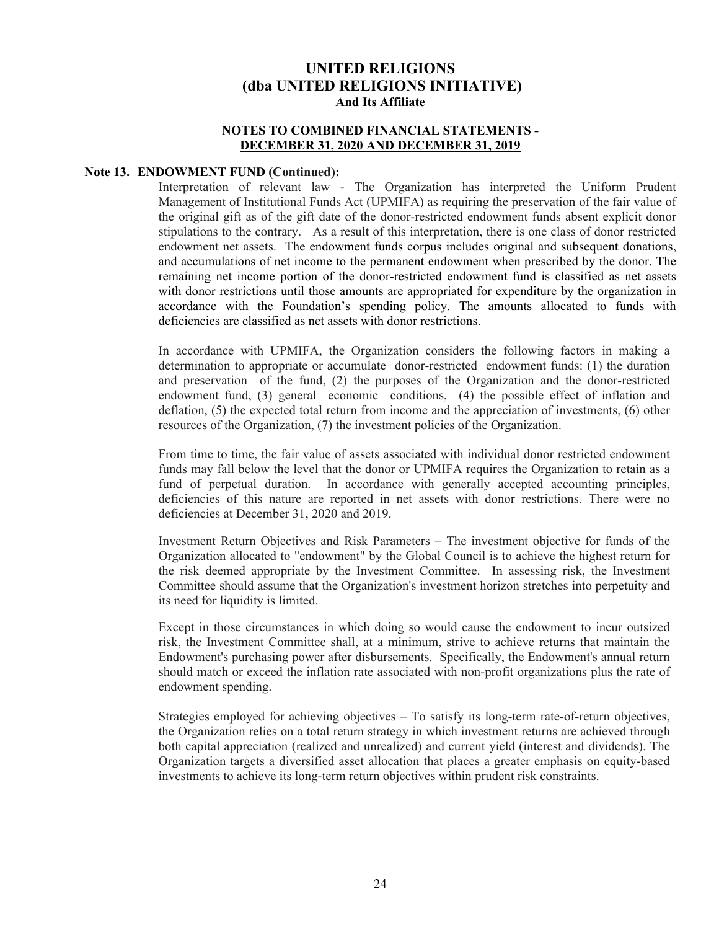#### **NOTES TO COMBINED FINANCIAL STATEMENTS - DECEMBER 31, 2020 AND DECEMBER 31, 2019**

#### **Note 13. ENDOWMENT FUND (Continued):**

Interpretation of relevant law - The Organization has interpreted the Uniform Prudent Management of Institutional Funds Act (UPMIFA) as requiring the preservation of the fair value of the original gift as of the gift date of the donor-restricted endowment funds absent explicit donor stipulations to the contrary. As a result of this interpretation, there is one class of donor restricted endowment net assets. The endowment funds corpus includes original and subsequent donations, and accumulations of net income to the permanent endowment when prescribed by the donor. The remaining net income portion of the donor-restricted endowment fund is classified as net assets with donor restrictions until those amounts are appropriated for expenditure by the organization in accordance with the Foundation's spending policy. The amounts allocated to funds with deficiencies are classified as net assets with donor restrictions.

In accordance with UPMIFA, the Organization considers the following factors in making a determination to appropriate or accumulate donor-restricted endowment funds: (1) the duration and preservation of the fund, (2) the purposes of the Organization and the donor-restricted endowment fund, (3) general economic conditions, (4) the possible effect of inflation and deflation, (5) the expected total return from income and the appreciation of investments, (6) other resources of the Organization, (7) the investment policies of the Organization.

From time to time, the fair value of assets associated with individual donor restricted endowment funds may fall below the level that the donor or UPMIFA requires the Organization to retain as a fund of perpetual duration. In accordance with generally accepted accounting principles, deficiencies of this nature are reported in net assets with donor restrictions. There were no deficiencies at December 31, 2020 and 2019.

Investment Return Objectives and Risk Parameters – The investment objective for funds of the Organization allocated to "endowment" by the Global Council is to achieve the highest return for the risk deemed appropriate by the Investment Committee. In assessing risk, the Investment Committee should assume that the Organization's investment horizon stretches into perpetuity and its need for liquidity is limited.

Except in those circumstances in which doing so would cause the endowment to incur outsized risk, the Investment Committee shall, at a minimum, strive to achieve returns that maintain the Endowment's purchasing power after disbursements. Specifically, the Endowment's annual return should match or exceed the inflation rate associated with non-profit organizations plus the rate of endowment spending.

Strategies employed for achieving objectives – To satisfy its long-term rate-of-return objectives, the Organization relies on a total return strategy in which investment returns are achieved through both capital appreciation (realized and unrealized) and current yield (interest and dividends). The Organization targets a diversified asset allocation that places a greater emphasis on equity-based investments to achieve its long-term return objectives within prudent risk constraints.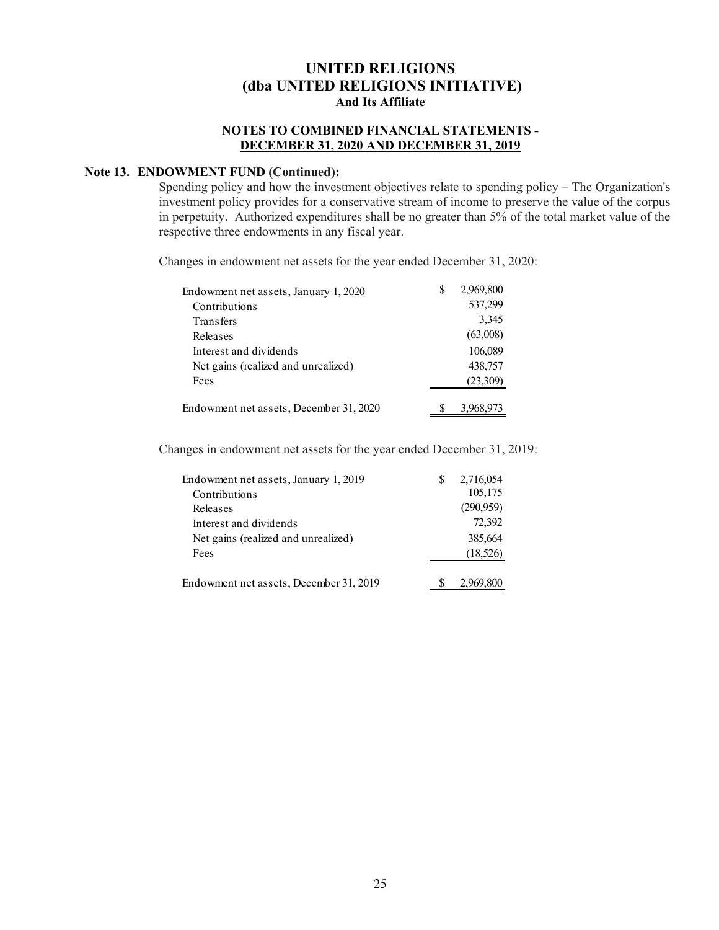#### **NOTES TO COMBINED FINANCIAL STATEMENTS - DECEMBER 31, 2020 AND DECEMBER 31, 2019**

#### **Note 13. ENDOWMENT FUND (Continued):**

Spending policy and how the investment objectives relate to spending policy – The Organization's investment policy provides for a conservative stream of income to preserve the value of the corpus in perpetuity. Authorized expenditures shall be no greater than 5% of the total market value of the respective three endowments in any fiscal year.

Changes in endowment net assets for the year ended December 31, 2020:

| Endowment net assets, January 1, 2020   | S | 2,969,800 |
|-----------------------------------------|---|-----------|
| Contributions                           |   | 537,299   |
| <b>Transfers</b>                        |   | 3,345     |
| Releases                                |   | (63,008)  |
| Interest and dividends                  |   | 106,089   |
| Net gains (realized and unrealized)     |   | 438,757   |
| Fees                                    |   | (23,309)  |
| Endowment net assets, December 31, 2020 |   | 3.968,973 |

Changes in endowment net assets for the year ended December 31, 2019:

| Endowment net assets, January 1, 2019   | S | 2,716,054 |
|-----------------------------------------|---|-----------|
| Contributions                           |   | 105,175   |
| Releases                                |   | (290,959) |
| Interest and dividends                  |   | 72,392    |
| Net gains (realized and unrealized)     |   | 385,664   |
| Fees                                    |   | (18,526)  |
| Endowment net assets, December 31, 2019 |   | 2,969,800 |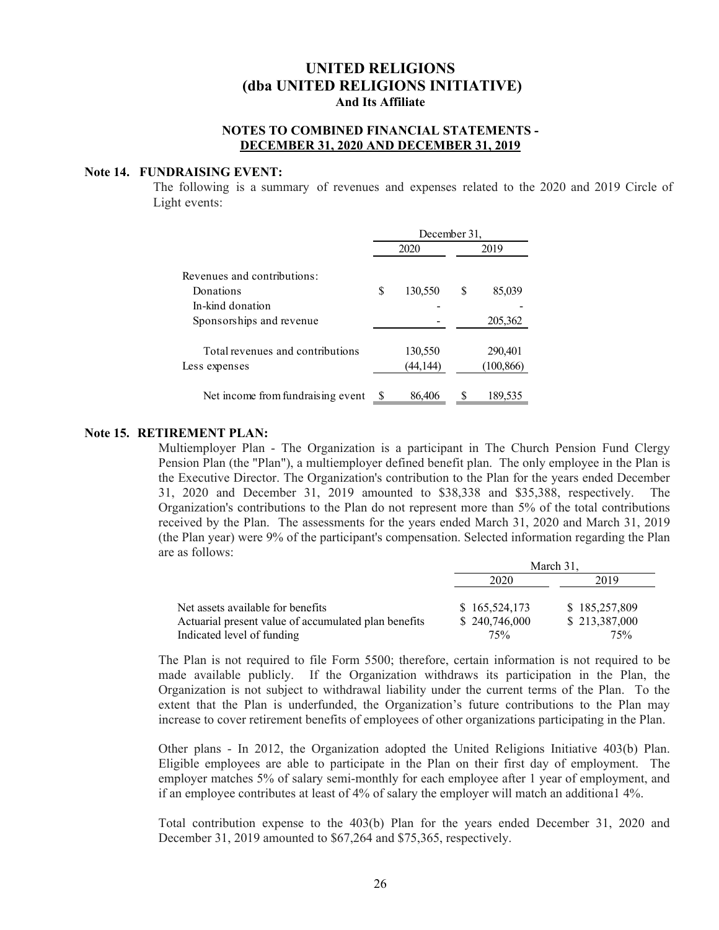#### **NOTES TO COMBINED FINANCIAL STATEMENTS - DECEMBER 31, 2020 AND DECEMBER 31, 2019**

#### **Note 14. FUNDRAISING EVENT:**

The following is a summary of revenues and expenses related to the 2020 and 2019 Circle of Light events:

|                                   | December 31, |          |      |            |  |  |
|-----------------------------------|--------------|----------|------|------------|--|--|
|                                   |              | 2020     | 2019 |            |  |  |
| Revenues and contributions:       |              |          |      |            |  |  |
| Donations                         | S            | 130,550  | S    | 85,039     |  |  |
| In-kind donation                  |              |          |      |            |  |  |
| Sponsorships and revenue          |              |          |      | 205,362    |  |  |
| Total revenues and contributions  |              | 130,550  |      | 290,401    |  |  |
| Less expenses                     |              | (44,144) |      | (100, 866) |  |  |
| Net income from fundraising event |              | 86,406   |      | 189,535    |  |  |

#### **Note 15. RETIREMENT PLAN:**

Multiemployer Plan - The Organization is a participant in The Church Pension Fund Clergy Pension Plan (the "Plan"), a multiemployer defined benefit plan. The only employee in the Plan is the Executive Director. The Organization's contribution to the Plan for the years ended December 31, 2020 and December 31, 2019 amounted to \$38,338 and \$35,388, respectively. The Organization's contributions to the Plan do not represent more than 5% of the total contributions received by the Plan. The assessments for the years ended March 31, 2020 and March 31, 2019 (the Plan year) were 9% of the participant's compensation. Selected information regarding the Plan are as follows:

|                                                      | March 31.     |               |  |  |
|------------------------------------------------------|---------------|---------------|--|--|
|                                                      | 2020          | 2019          |  |  |
| Net assets available for benefits                    | \$165,524,173 | \$185,257,809 |  |  |
| Actuarial present value of accumulated plan benefits | \$240,746,000 | \$213,387,000 |  |  |
| Indicated level of funding                           | 75%           | 75%           |  |  |

The Plan is not required to file Form 5500; therefore, certain information is not required to be made available publicly. If the Organization withdraws its participation in the Plan, the Organization is not subject to withdrawal liability under the current terms of the Plan. To the extent that the Plan is underfunded, the Organization's future contributions to the Plan may increase to cover retirement benefits of employees of other organizations participating in the Plan.

Other plans - In 2012, the Organization adopted the United Religions Initiative 403(b) Plan. Eligible employees are able to participate in the Plan on their first day of employment. The employer matches 5% of salary semi-monthly for each employee after 1 year of employment, and if an employee contributes at least of 4% of salary the employer will match an additiona1 4%.

Total contribution expense to the 403(b) Plan for the years ended December 31, 2020 and December 31, 2019 amounted to \$67,264 and \$75,365, respectively.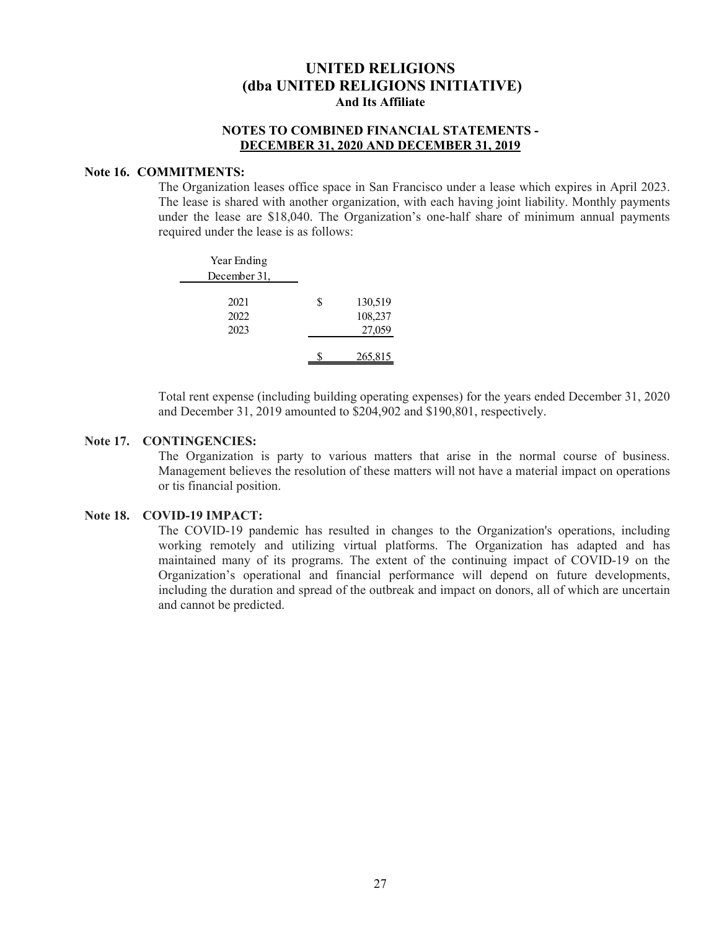#### **NOTES TO COMBINED FINANCIAL STATEMENTS - DECEMBER 31, 2020 AND DECEMBER 31, 2019**

#### **Note 16. COMMITMENTS:**

The Organization leases office space in San Francisco under a lease which expires in April 2023. The lease is shared with another organization, with each having joint liability. Monthly payments under the lease are \$18,040. The Organization's one-half share of minimum annual payments required under the lease is as follows:

| Year Ending<br>December 31, |   |                              |
|-----------------------------|---|------------------------------|
| 2021<br>2022<br>2023        | S | 130,519<br>108,237<br>27,059 |
|                             |   | 265,815                      |

Total rent expense (including building operating expenses) for the years ended December 31, 2020 and December 31, 2019 amounted to \$204,902 and \$190,801, respectively.

#### **Note 17. CONTINGENCIES:**

The Organization is party to various matters that arise in the normal course of business. Management believes the resolution of these matters will not have a material impact on operations or tis financial position.

#### **Note 18. COVID-19 IMPACT:**

The COVID-19 pandemic has resulted in changes to the Organization's operations, including working remotely and utilizing virtual platforms. The Organization has adapted and has maintained many of its programs. The extent of the continuing impact of COVID‐19 on the Organization's operational and financial performance will depend on future developments, including the duration and spread of the outbreak and impact on donors, all of which are uncertain and cannot be predicted.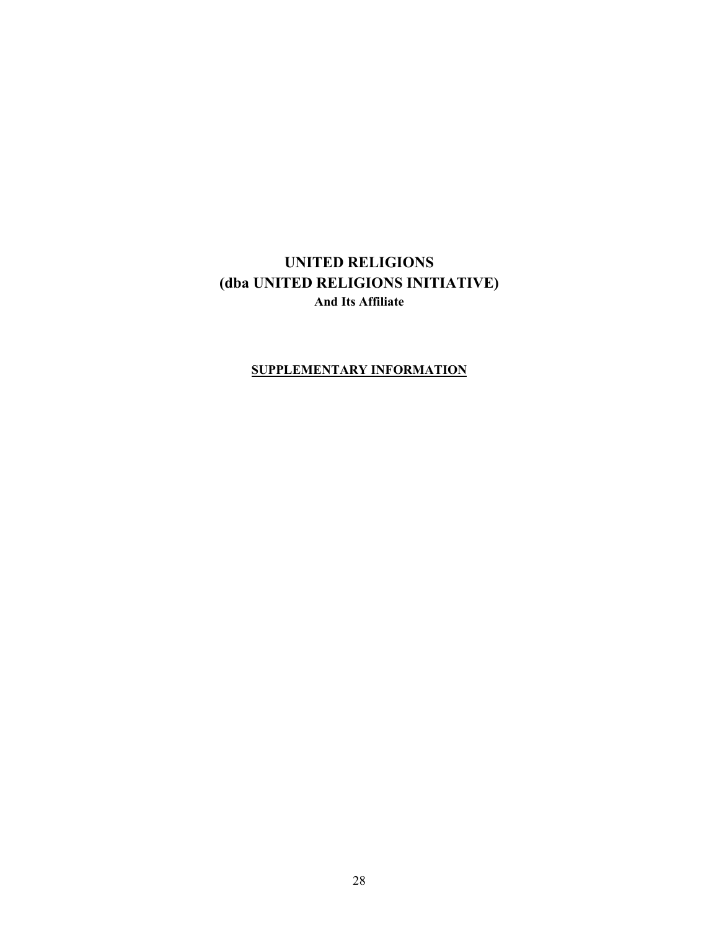### **SUPPLEMENTARY INFORMATION**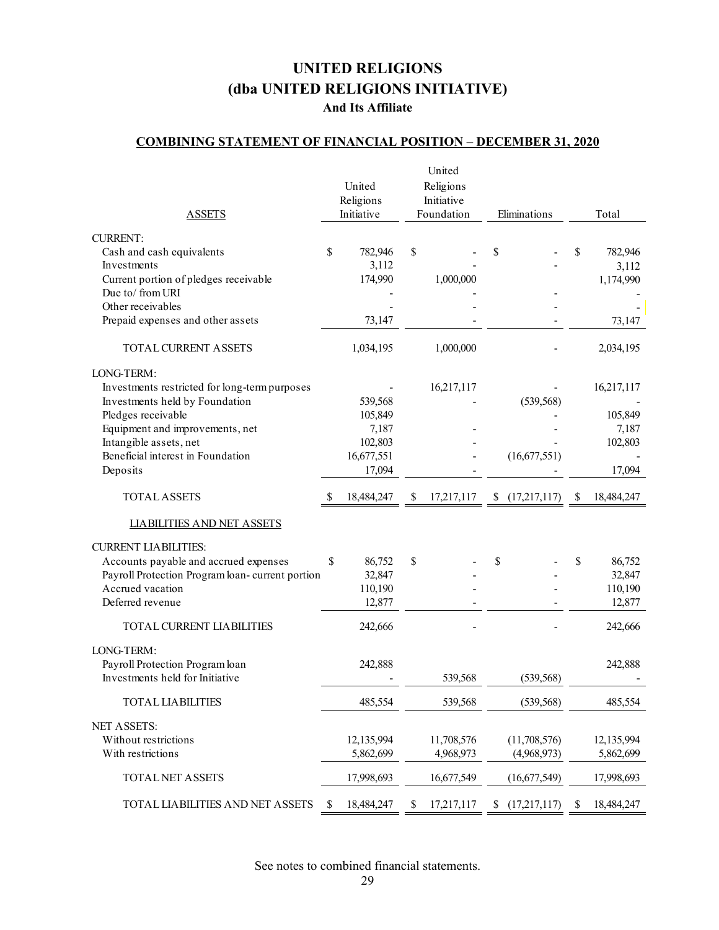# **UNITED RELIGIONS (dba UNITED RELIGIONS INITIATIVE)**

### **And Its Affiliate**

## **COMBINING STATEMENT OF FINANCIAL POSITION – DECEMBER 31, 2020**

| <b>ASSETS</b>                                                                                                                                                                    |    | United<br>Religions<br>Initiative      |    | United<br>Religions<br>Initiative<br>Foundation | Eliminations                |              | Total                                     |
|----------------------------------------------------------------------------------------------------------------------------------------------------------------------------------|----|----------------------------------------|----|-------------------------------------------------|-----------------------------|--------------|-------------------------------------------|
|                                                                                                                                                                                  |    |                                        |    |                                                 |                             |              |                                           |
| <b>CURRENT:</b><br>Cash and cash equivalents<br>Investments<br>Current portion of pledges receivable<br>Due to/from URI                                                          | \$ | 782,946<br>3,112<br>174,990            | \$ | 1,000,000                                       | \$                          | \$           | 782,946<br>3,112<br>1,174,990             |
| Other receivables                                                                                                                                                                |    |                                        |    |                                                 |                             |              |                                           |
| Prepaid expenses and other assets                                                                                                                                                |    | 73,147                                 |    |                                                 |                             |              | 73,147                                    |
| TOTAL CURRENT ASSETS                                                                                                                                                             |    | 1,034,195                              |    | 1,000,000                                       |                             |              | 2,034,195                                 |
| LONG-TERM:<br>Investments restricted for long-term purposes<br>Investments held by Foundation<br>Pledges receivable<br>Equipment and improvements, net<br>Intangible assets, net |    | 539,568<br>105,849<br>7,187<br>102,803 |    | 16,217,117                                      | (539, 568)                  |              | 16,217,117<br>105,849<br>7,187<br>102,803 |
| Beneficial interest in Foundation<br>Deposits                                                                                                                                    |    | 16,677,551<br>17,094                   |    |                                                 | (16,677,551)                |              | 17,094                                    |
|                                                                                                                                                                                  |    |                                        |    |                                                 |                             |              |                                           |
| <b>TOTAL ASSETS</b>                                                                                                                                                              | S  | 18,484,247                             | S. | 17,217,117                                      | (17,217,117)                | <sup>8</sup> | 18,484,247                                |
| <b>LIABILITIES AND NET ASSETS</b>                                                                                                                                                |    |                                        |    |                                                 |                             |              |                                           |
| <b>CURRENT LIABILITIES:</b><br>Accounts payable and accrued expenses<br>Payroll Protection Program loan-current portion<br>Accrued vacation<br>Deferred revenue                  | \$ | 86,752<br>32,847<br>110,190<br>12,877  | \$ |                                                 | \$                          | \$           | 86,752<br>32,847<br>110,190<br>12,877     |
| TOTAL CURRENT LIABILITIES                                                                                                                                                        |    | 242,666                                |    |                                                 |                             |              | 242,666                                   |
| LONG-TERM:<br>Payroll Protection Program loan<br>Investments held for Initiative                                                                                                 |    | 242,888                                |    | 539,568                                         | (539, 568)                  |              | 242,888                                   |
| <b>TOTAL LIABILITIES</b>                                                                                                                                                         |    | 485,554                                |    | 539,568                                         | (539, 568)                  |              | 485,554                                   |
| <b>NET ASSETS:</b><br>Without restrictions<br>With restrictions                                                                                                                  |    | 12,135,994<br>5,862,699                |    | 11,708,576<br>4,968,973                         | (11,708,576)<br>(4,968,973) |              | 12,135,994<br>5,862,699                   |
| TOTAL NET ASSETS                                                                                                                                                                 |    | 17,998,693                             |    | 16,677,549                                      | (16,677,549)                |              | 17,998,693                                |
| TOTAL LIABILITIES AND NET ASSETS                                                                                                                                                 | S  | 18,484,247                             | \$ | 17,217,117                                      | \$<br>(17,217,117)          | S            | 18,484,247                                |